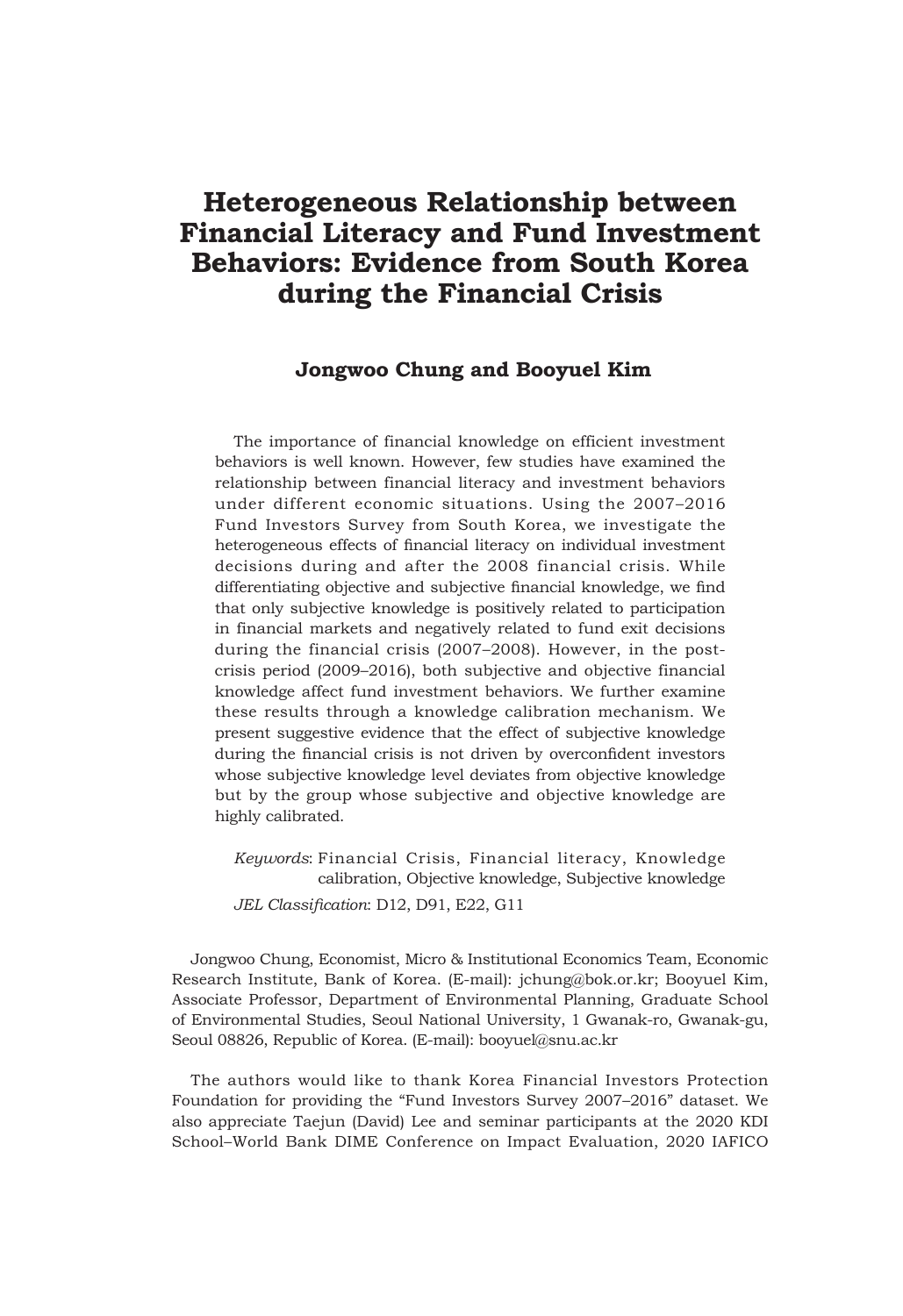# **Heterogeneous Relationship between Financial Literacy and Fund Investment Behaviors: Evidence from South Korea during the Financial Crisis**

## **Jongwoo Chung and Booyuel Kim**

The importance of financial knowledge on efficient investment behaviors is well known. However, few studies have examined the relationship between financial literacy and investment behaviors under different economic situations. Using the 2007–2016 Fund Investors Survey from South Korea, we investigate the heterogeneous effects of financial literacy on individual investment decisions during and after the 2008 financial crisis. While differentiating objective and subjective financial knowledge, we find that only subjective knowledge is positively related to participation in financial markets and negatively related to fund exit decisions during the financial crisis (2007–2008). However, in the postcrisis period (2009–2016), both subjective and objective financial knowledge affect fund investment behaviors. We further examine these results through a knowledge calibration mechanism. We present suggestive evidence that the effect of subjective knowledge during the financial crisis is not driven by overconfident investors whose subjective knowledge level deviates from objective knowledge but by the group whose subjective and objective knowledge are highly calibrated.

*Keywords*: Financial Crisis, Financial literacy, Knowledge calibration, Objective knowledge, Subjective knowledge *JEL Classification*: D12, D91, E22, G11

Jongwoo Chung, Economist, Micro & Institutional Economics Team, Economic Research Institute, Bank of Korea. (E-mail): jchung@bok.or.kr; Booyuel Kim, Associate Professor, Department of Environmental Planning, Graduate School of Environmental Studies, Seoul National University, 1 Gwanak-ro, Gwanak-gu, Seoul 08826, Republic of Korea. (E-mail): booyuel@snu.ac.kr

The authors would like to thank Korea Financial Investors Protection Foundation for providing the "Fund Investors Survey 2007–2016" dataset. We also appreciate Taejun (David) Lee and seminar participants at the 2020 KDI School–World Bank DIME Conference on Impact Evaluation, 2020 IAFICO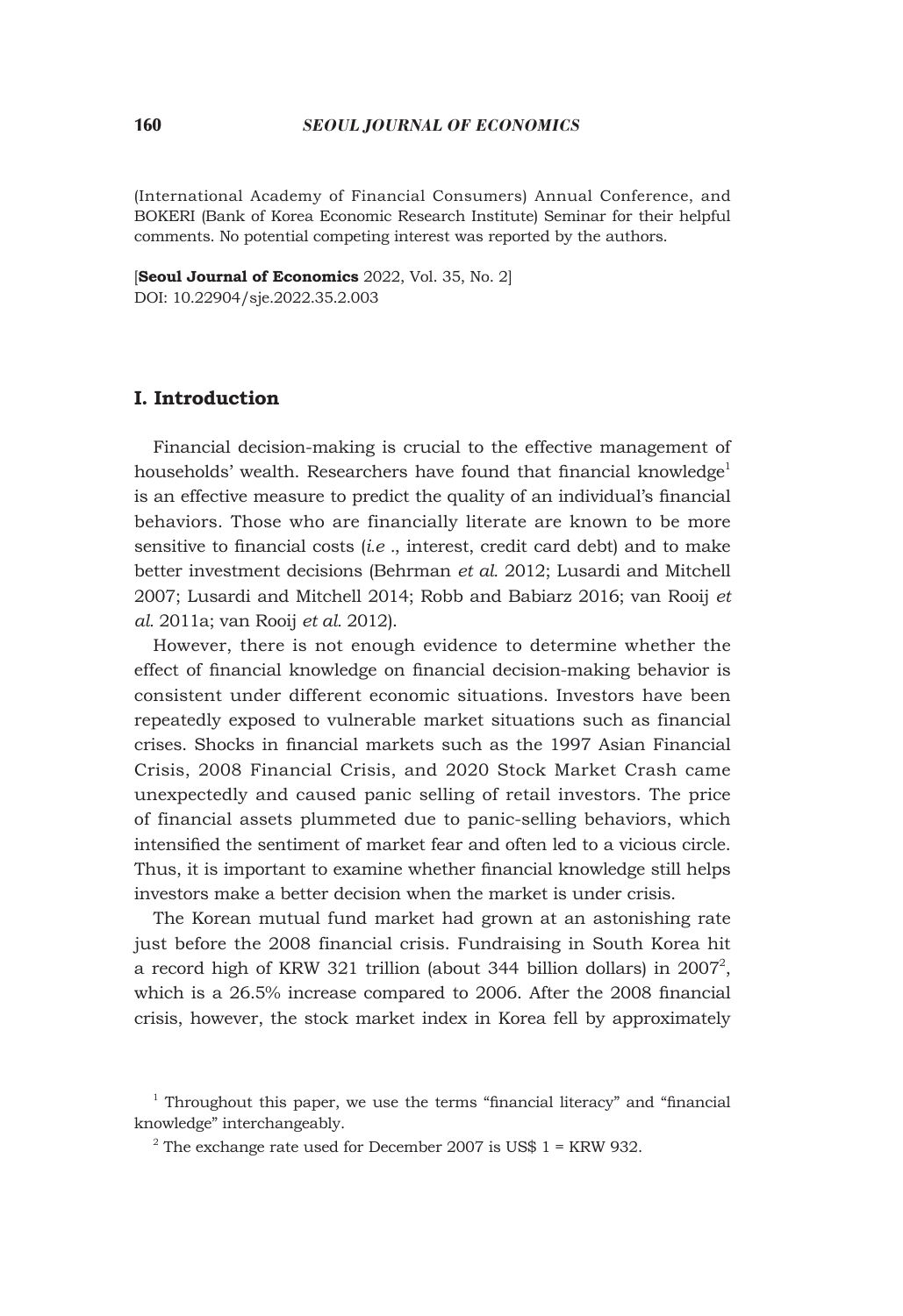#### 160 *SEOUL JOURNAL OF ECONOMICS*

(International Academy of Financial Consumers) Annual Conference, and BOKERI (Bank of Korea Economic Research Institute) Seminar for their helpful comments. No potential competing interest was reported by the authors.

[**Seoul Journal of Economics** 2022, Vol. 35, No. 2] DOI: 10.22904/sje.2022.35.2.003

#### **I. Introduction**

Financial decision-making is crucial to the effective management of households' wealth. Researchers have found that financial knowledge<sup>1</sup> is an effective measure to predict the quality of an individual's financial behaviors. Those who are financially literate are known to be more sensitive to financial costs (*i.e .*, interest, credit card debt) and to make better investment decisions (Behrman *et al.* 2012; Lusardi and Mitchell 2007; Lusardi and Mitchell 2014; Robb and Babiarz 2016; van Rooij *et al.* 2011a; van Rooij *et al.* 2012).

However, there is not enough evidence to determine whether the effect of financial knowledge on financial decision-making behavior is consistent under different economic situations. Investors have been repeatedly exposed to vulnerable market situations such as financial crises. Shocks in financial markets such as the 1997 Asian Financial Crisis, 2008 Financial Crisis, and 2020 Stock Market Crash came unexpectedly and caused panic selling of retail investors. The price of financial assets plummeted due to panic-selling behaviors, which intensified the sentiment of market fear and often led to a vicious circle. Thus, it is important to examine whether financial knowledge still helps investors make a better decision when the market is under crisis.

The Korean mutual fund market had grown at an astonishing rate just before the 2008 financial crisis. Fundraising in South Korea hit a record high of KRW 321 trillion (about 344 billion dollars) in  $2007^2$ , which is a 26.5% increase compared to 2006. After the 2008 financial crisis, however, the stock market index in Korea fell by approximately

<sup>&</sup>lt;sup>1</sup> Throughout this paper, we use the terms "financial literacy" and "financial knowledge" interchangeably.

 $2^2$  The exchange rate used for December 2007 is US\$ 1 = KRW 932.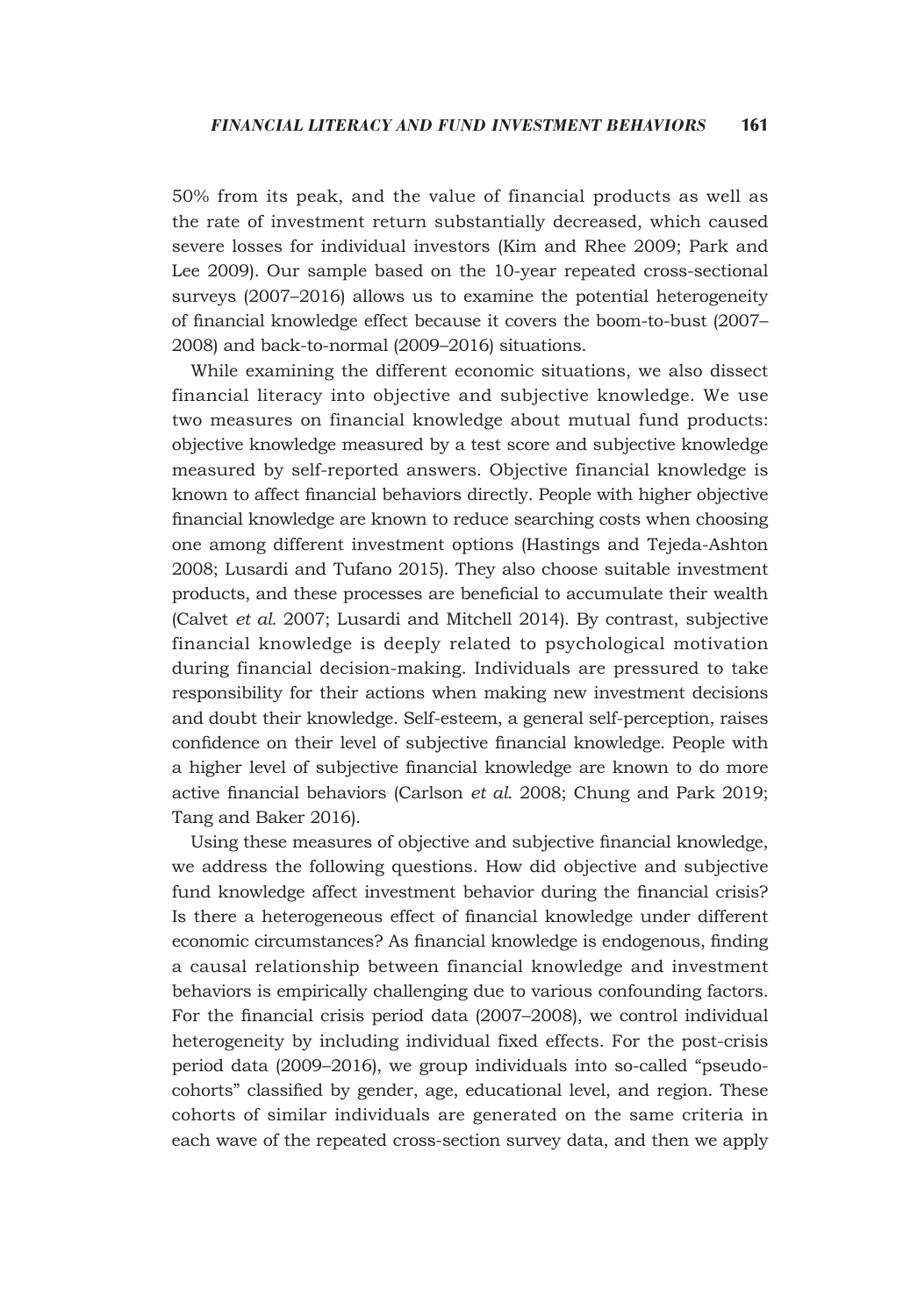50% from its peak, and the value of financial products as well as the rate of investment return substantially decreased, which caused severe losses for individual investors (Kim and Rhee 2009; Park and Lee 2009). Our sample based on the 10-year repeated cross-sectional surveys (2007–2016) allows us to examine the potential heterogeneity of financial knowledge effect because it covers the boom-to-bust (2007– 2008) and back-to-normal (2009–2016) situations.

While examining the different economic situations, we also dissect financial literacy into objective and subjective knowledge. We use two measures on financial knowledge about mutual fund products: objective knowledge measured by a test score and subjective knowledge measured by self-reported answers. Objective financial knowledge is known to affect financial behaviors directly. People with higher objective financial knowledge are known to reduce searching costs when choosing one among different investment options (Hastings and Tejeda-Ashton 2008; Lusardi and Tufano 2015). They also choose suitable investment products, and these processes are beneficial to accumulate their wealth (Calvet *et al.* 2007; Lusardi and Mitchell 2014). By contrast, subjective financial knowledge is deeply related to psychological motivation during financial decision-making. Individuals are pressured to take responsibility for their actions when making new investment decisions and doubt their knowledge. Self-esteem, a general self-perception, raises confidence on their level of subjective financial knowledge. People with a higher level of subjective financial knowledge are known to do more active financial behaviors (Carlson *et al*. 2008; Chung and Park 2019; Tang and Baker 2016).

Using these measures of objective and subjective financial knowledge, we address the following questions. How did objective and subjective fund knowledge affect investment behavior during the financial crisis? Is there a heterogeneous effect of financial knowledge under different economic circumstances? As financial knowledge is endogenous, finding a causal relationship between financial knowledge and investment behaviors is empirically challenging due to various confounding factors. For the financial crisis period data (2007–2008), we control individual heterogeneity by including individual fixed effects. For the post-crisis period data (2009–2016), we group individuals into so-called "pseudocohorts" classified by gender, age, educational level, and region. These cohorts of similar individuals are generated on the same criteria in each wave of the repeated cross-section survey data, and then we apply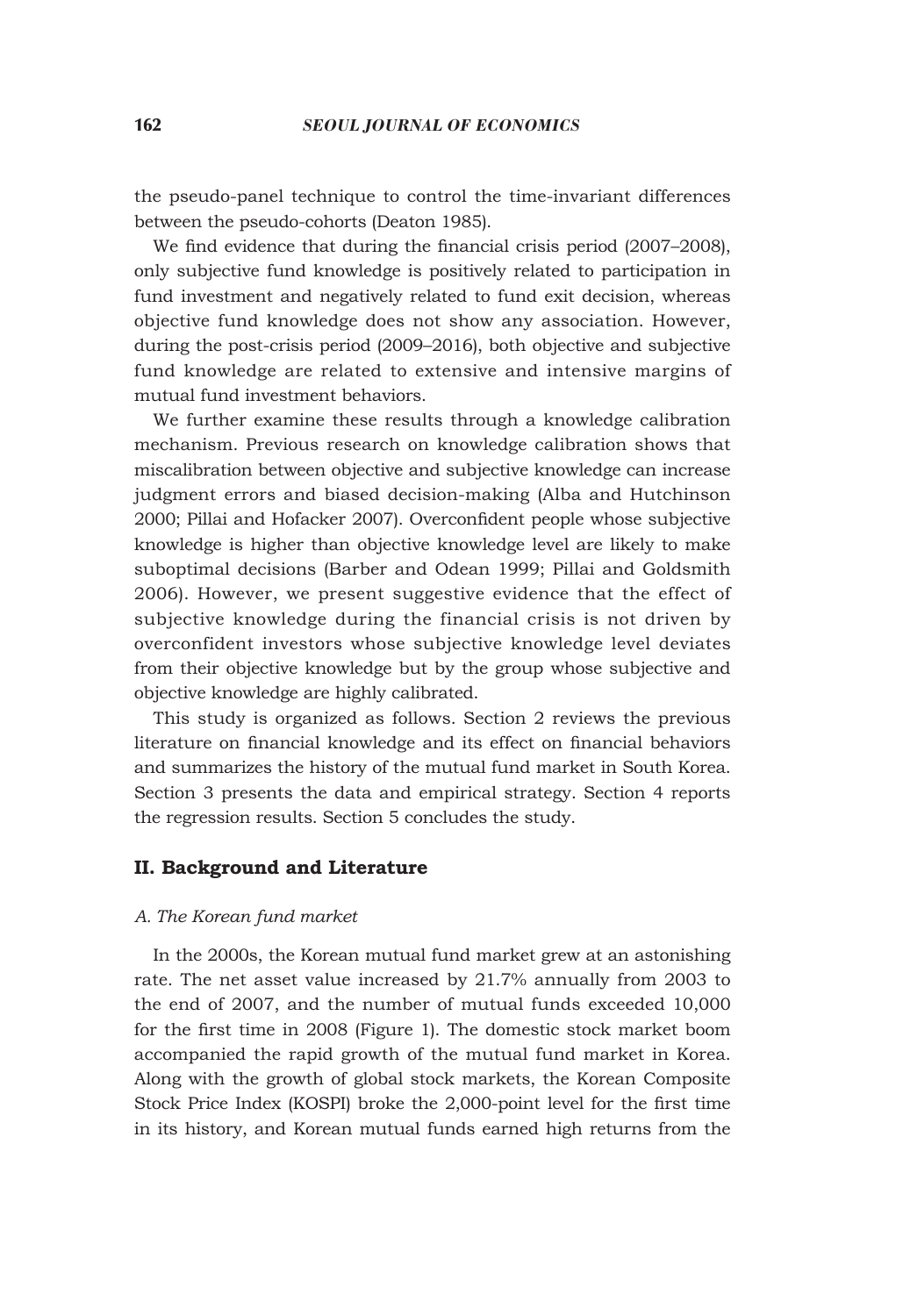the pseudo-panel technique to control the time-invariant differences between the pseudo-cohorts (Deaton 1985).

We find evidence that during the financial crisis period (2007–2008), only subjective fund knowledge is positively related to participation in fund investment and negatively related to fund exit decision, whereas objective fund knowledge does not show any association. However, during the post-crisis period (2009–2016), both objective and subjective fund knowledge are related to extensive and intensive margins of mutual fund investment behaviors.

We further examine these results through a knowledge calibration mechanism. Previous research on knowledge calibration shows that miscalibration between objective and subjective knowledge can increase judgment errors and biased decision-making (Alba and Hutchinson 2000; Pillai and Hofacker 2007). Overconfident people whose subjective knowledge is higher than objective knowledge level are likely to make suboptimal decisions (Barber and Odean 1999; Pillai and Goldsmith 2006). However, we present suggestive evidence that the effect of subjective knowledge during the financial crisis is not driven by overconfident investors whose subjective knowledge level deviates from their objective knowledge but by the group whose subjective and objective knowledge are highly calibrated.

This study is organized as follows. Section 2 reviews the previous literature on financial knowledge and its effect on financial behaviors and summarizes the history of the mutual fund market in South Korea. Section 3 presents the data and empirical strategy. Section 4 reports the regression results. Section 5 concludes the study.

#### **II. Background and Literature**

#### *A. The Korean fund market*

In the 2000s, the Korean mutual fund market grew at an astonishing rate. The net asset value increased by 21.7% annually from 2003 to the end of 2007, and the number of mutual funds exceeded 10,000 for the first time in 2008 (Figure 1). The domestic stock market boom accompanied the rapid growth of the mutual fund market in Korea. Along with the growth of global stock markets, the Korean Composite Stock Price Index (KOSPI) broke the 2,000-point level for the first time in its history, and Korean mutual funds earned high returns from the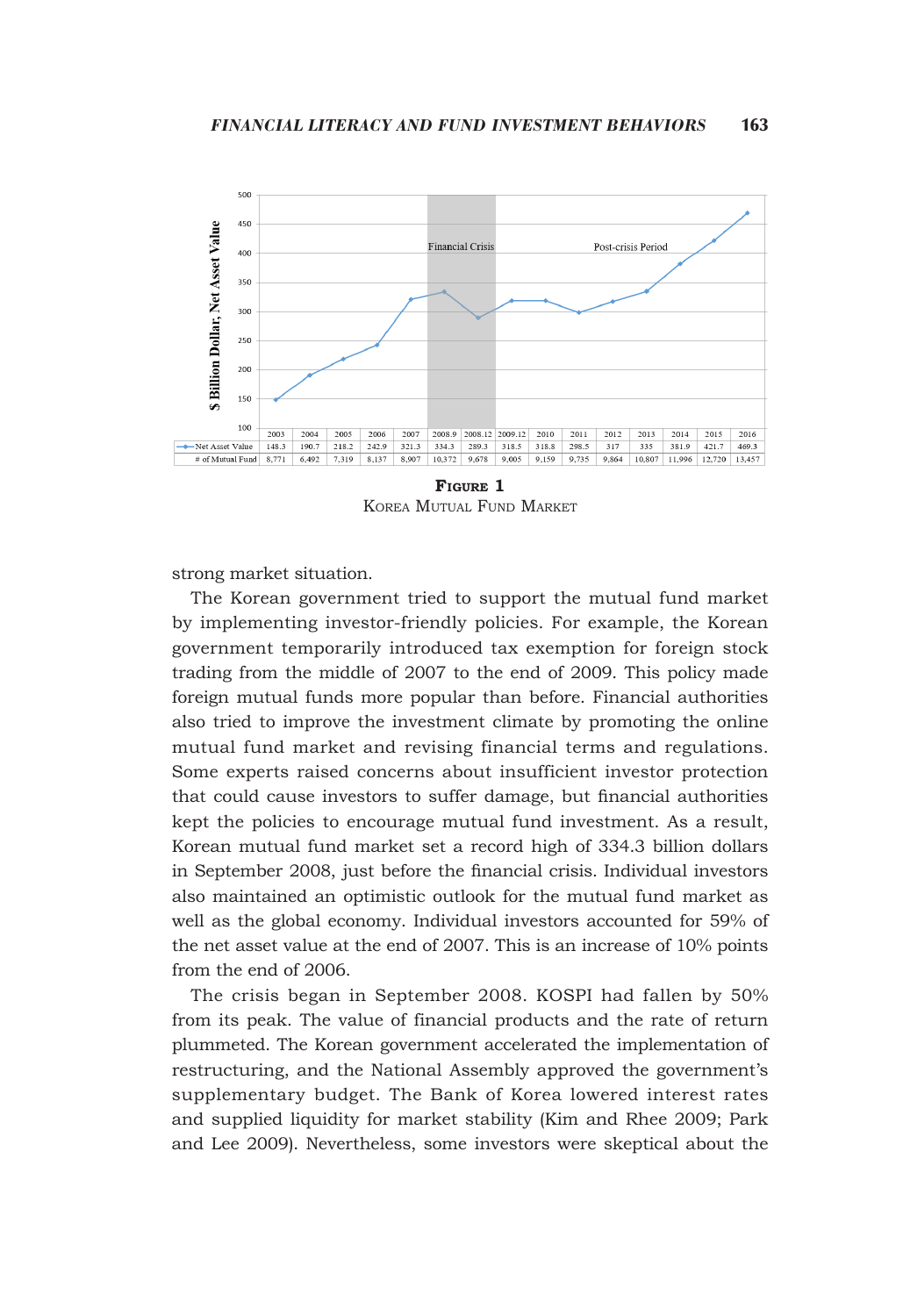

**Figure 1** Korea Mutual Fund Market

strong market situation.

The Korean government tried to support the mutual fund market by implementing investor-friendly policies. For example, the Korean government temporarily introduced tax exemption for foreign stock trading from the middle of 2007 to the end of 2009. This policy made foreign mutual funds more popular than before. Financial authorities also tried to improve the investment climate by promoting the online mutual fund market and revising financial terms and regulations. Some experts raised concerns about insufficient investor protection that could cause investors to suffer damage, but financial authorities kept the policies to encourage mutual fund investment. As a result, Korean mutual fund market set a record high of 334.3 billion dollars in September 2008, just before the financial crisis. Individual investors also maintained an optimistic outlook for the mutual fund market as well as the global economy. Individual investors accounted for 59% of the net asset value at the end of 2007. This is an increase of 10% points from the end of 2006.

The crisis began in September 2008. KOSPI had fallen by 50% from its peak. The value of financial products and the rate of return plummeted. The Korean government accelerated the implementation of restructuring, and the National Assembly approved the government's supplementary budget. The Bank of Korea lowered interest rates and supplied liquidity for market stability (Kim and Rhee 2009; Park and Lee 2009). Nevertheless, some investors were skeptical about the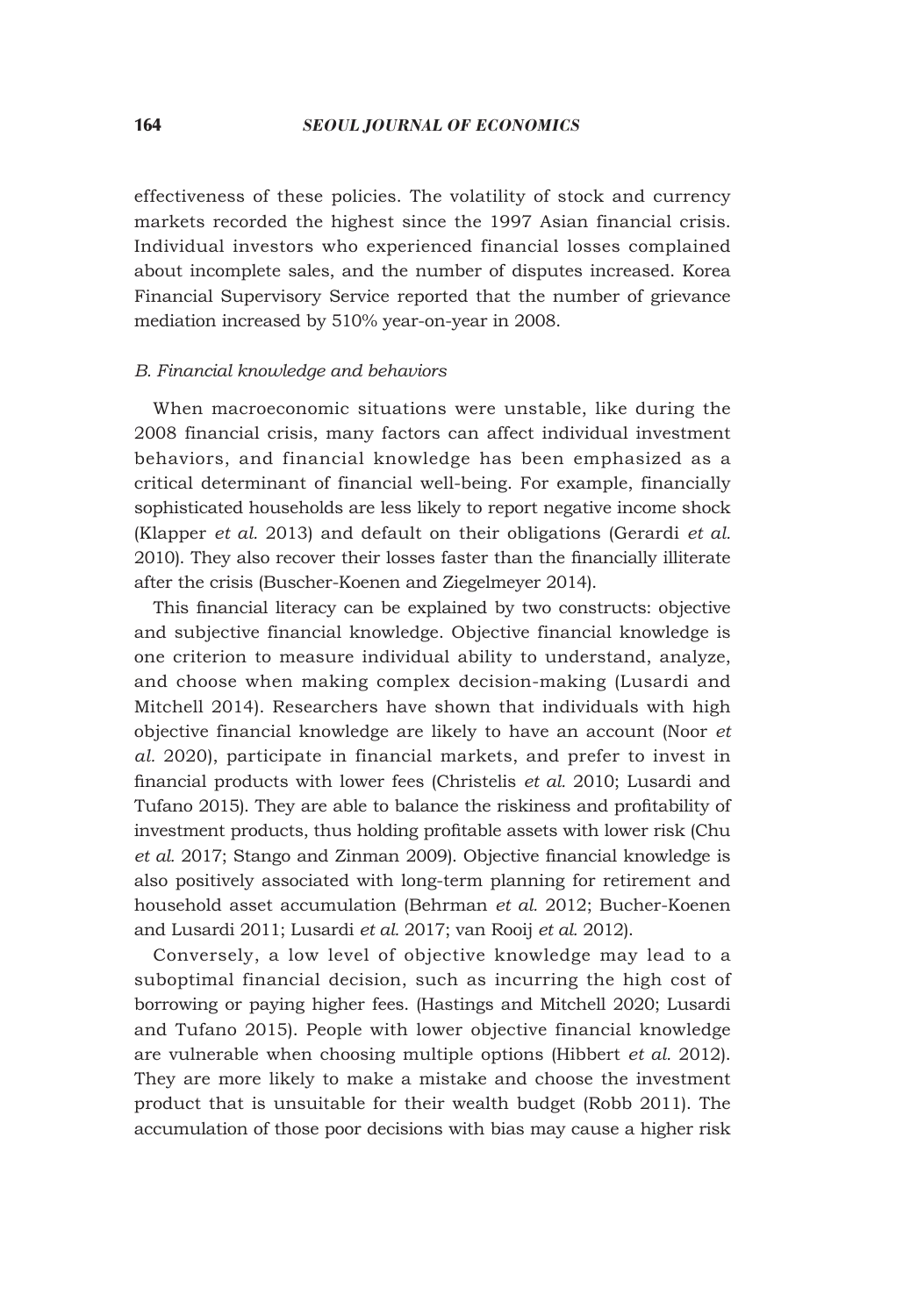effectiveness of these policies. The volatility of stock and currency markets recorded the highest since the 1997 Asian financial crisis. Individual investors who experienced financial losses complained about incomplete sales, and the number of disputes increased. Korea Financial Supervisory Service reported that the number of grievance mediation increased by 510% year-on-year in 2008.

#### *B. Financial knowledge and behaviors*

When macroeconomic situations were unstable, like during the 2008 financial crisis, many factors can affect individual investment behaviors, and financial knowledge has been emphasized as a critical determinant of financial well-being. For example, financially sophisticated households are less likely to report negative income shock (Klapper *et al.* 2013) and default on their obligations (Gerardi *et al.* 2010). They also recover their losses faster than the financially illiterate after the crisis (Buscher-Koenen and Ziegelmeyer 2014).

This financial literacy can be explained by two constructs: objective and subjective financial knowledge. Objective financial knowledge is one criterion to measure individual ability to understand, analyze, and choose when making complex decision-making (Lusardi and Mitchell 2014). Researchers have shown that individuals with high objective financial knowledge are likely to have an account (Noor *et al.* 2020), participate in financial markets, and prefer to invest in financial products with lower fees (Christelis *et al.* 2010; Lusardi and Tufano 2015). They are able to balance the riskiness and profitability of investment products, thus holding profitable assets with lower risk (Chu *et al.* 2017; Stango and Zinman 2009). Objective financial knowledge is also positively associated with long-term planning for retirement and household asset accumulation (Behrman *et al.* 2012; Bucher-Koenen and Lusardi 2011; Lusardi *et al.* 2017; van Rooij *et al.* 2012).

Conversely, a low level of objective knowledge may lead to a suboptimal financial decision, such as incurring the high cost of borrowing or paying higher fees. (Hastings and Mitchell 2020; Lusardi and Tufano 2015). People with lower objective financial knowledge are vulnerable when choosing multiple options (Hibbert *et al.* 2012). They are more likely to make a mistake and choose the investment product that is unsuitable for their wealth budget (Robb 2011). The accumulation of those poor decisions with bias may cause a higher risk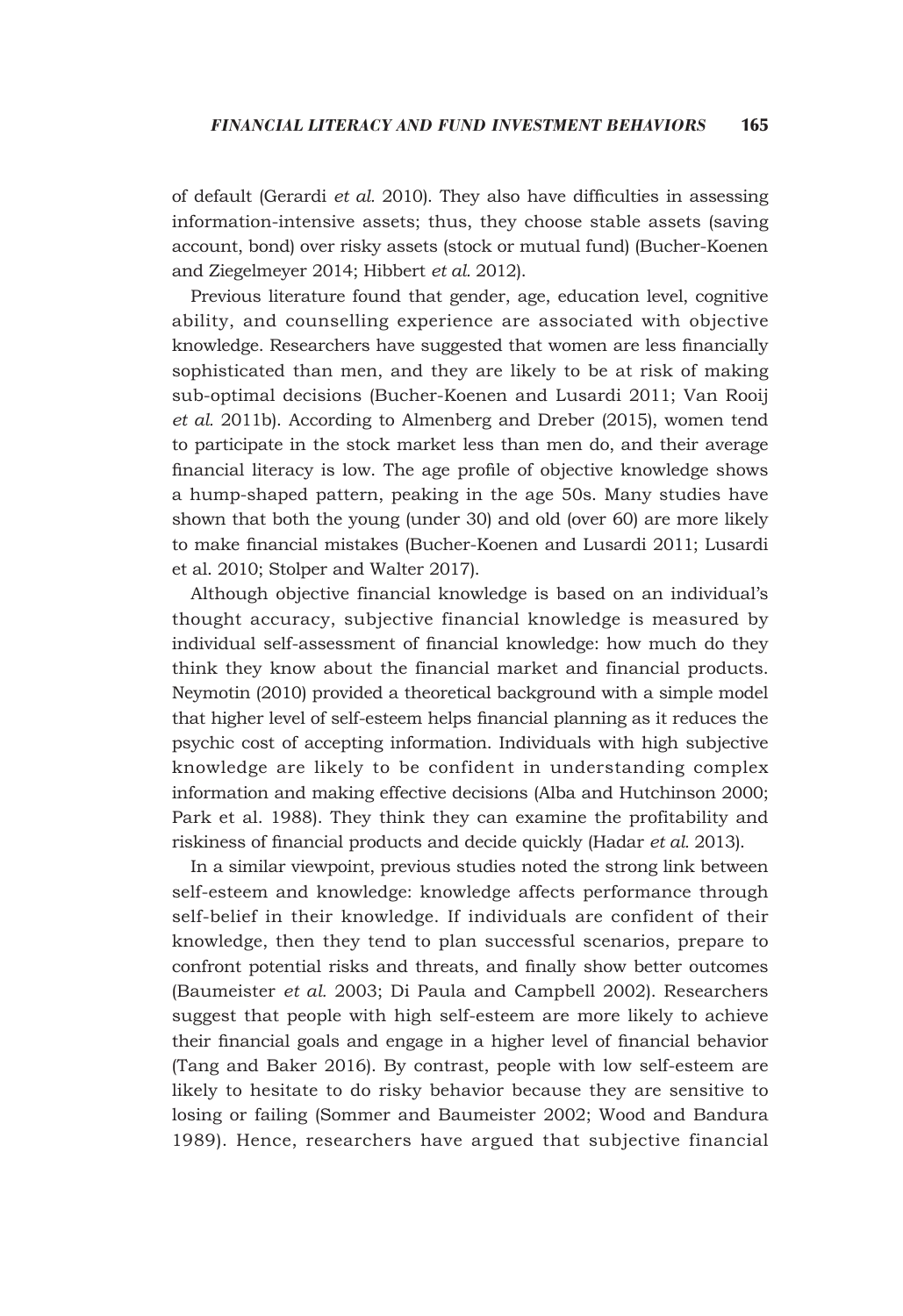of default (Gerardi *et al.* 2010). They also have difficulties in assessing information-intensive assets; thus, they choose stable assets (saving account, bond) over risky assets (stock or mutual fund) (Bucher-Koenen and Ziegelmeyer 2014; Hibbert *et al.* 2012).

Previous literature found that gender, age, education level, cognitive ability, and counselling experience are associated with objective knowledge. Researchers have suggested that women are less financially sophisticated than men, and they are likely to be at risk of making sub-optimal decisions (Bucher-Koenen and Lusardi 2011; Van Rooij *et al.* 2011b). According to Almenberg and Dreber (2015), women tend to participate in the stock market less than men do, and their average financial literacy is low. The age profile of objective knowledge shows a hump-shaped pattern, peaking in the age 50s. Many studies have shown that both the young (under 30) and old (over 60) are more likely to make financial mistakes (Bucher-Koenen and Lusardi 2011; Lusardi et al. 2010; Stolper and Walter 2017).

Although objective financial knowledge is based on an individual's thought accuracy, subjective financial knowledge is measured by individual self-assessment of financial knowledge: how much do they think they know about the financial market and financial products. Neymotin (2010) provided a theoretical background with a simple model that higher level of self-esteem helps financial planning as it reduces the psychic cost of accepting information. Individuals with high subjective knowledge are likely to be confident in understanding complex information and making effective decisions (Alba and Hutchinson 2000; Park et al. 1988). They think they can examine the profitability and riskiness of financial products and decide quickly (Hadar *et al.* 2013).

In a similar viewpoint, previous studies noted the strong link between self-esteem and knowledge: knowledge affects performance through self-belief in their knowledge. If individuals are confident of their knowledge, then they tend to plan successful scenarios, prepare to confront potential risks and threats, and finally show better outcomes (Baumeister *et al.* 2003; Di Paula and Campbell 2002). Researchers suggest that people with high self-esteem are more likely to achieve their financial goals and engage in a higher level of financial behavior (Tang and Baker 2016). By contrast, people with low self-esteem are likely to hesitate to do risky behavior because they are sensitive to losing or failing (Sommer and Baumeister 2002; Wood and Bandura 1989). Hence, researchers have argued that subjective financial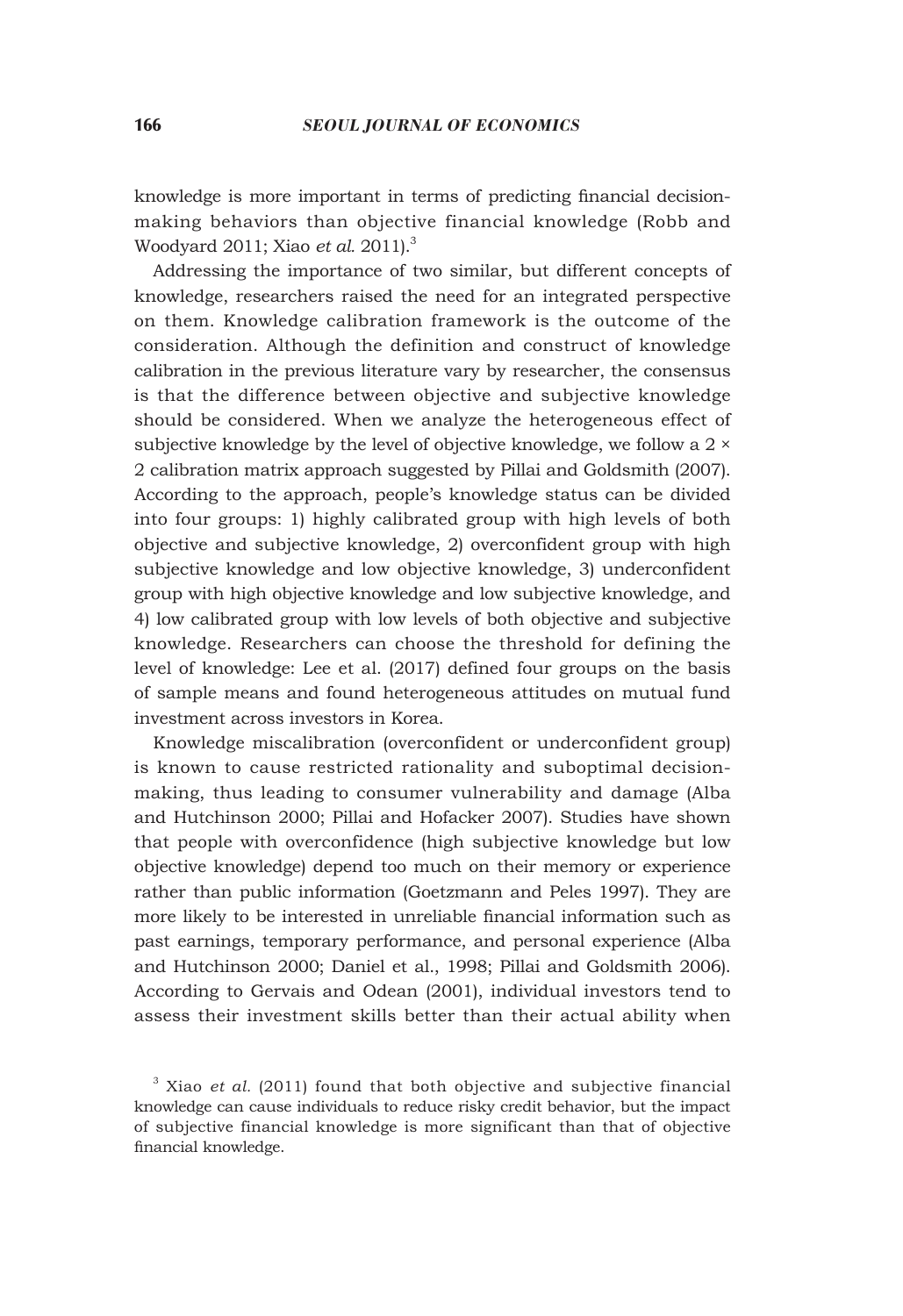knowledge is more important in terms of predicting financial decisionmaking behaviors than objective financial knowledge (Robb and Woodyard 2011; Xiao *et al.* 2011).3

Addressing the importance of two similar, but different concepts of knowledge, researchers raised the need for an integrated perspective on them. Knowledge calibration framework is the outcome of the consideration. Although the definition and construct of knowledge calibration in the previous literature vary by researcher, the consensus is that the difference between objective and subjective knowledge should be considered. When we analyze the heterogeneous effect of subjective knowledge by the level of objective knowledge, we follow a 2 × 2 calibration matrix approach suggested by Pillai and Goldsmith (2007). According to the approach, people's knowledge status can be divided into four groups: 1) highly calibrated group with high levels of both objective and subjective knowledge, 2) overconfident group with high subjective knowledge and low objective knowledge, 3) underconfident group with high objective knowledge and low subjective knowledge, and 4) low calibrated group with low levels of both objective and subjective knowledge. Researchers can choose the threshold for defining the level of knowledge: Lee et al. (2017) defined four groups on the basis of sample means and found heterogeneous attitudes on mutual fund investment across investors in Korea.

Knowledge miscalibration (overconfident or underconfident group) is known to cause restricted rationality and suboptimal decisionmaking, thus leading to consumer vulnerability and damage (Alba and Hutchinson 2000; Pillai and Hofacker 2007). Studies have shown that people with overconfidence (high subjective knowledge but low objective knowledge) depend too much on their memory or experience rather than public information (Goetzmann and Peles 1997). They are more likely to be interested in unreliable financial information such as past earnings, temporary performance, and personal experience (Alba and Hutchinson 2000; Daniel et al., 1998; Pillai and Goldsmith 2006). According to Gervais and Odean (2001), individual investors tend to assess their investment skills better than their actual ability when

<sup>3</sup> Xiao *et al.* (2011) found that both objective and subjective financial knowledge can cause individuals to reduce risky credit behavior, but the impact of subjective financial knowledge is more significant than that of objective financial knowledge.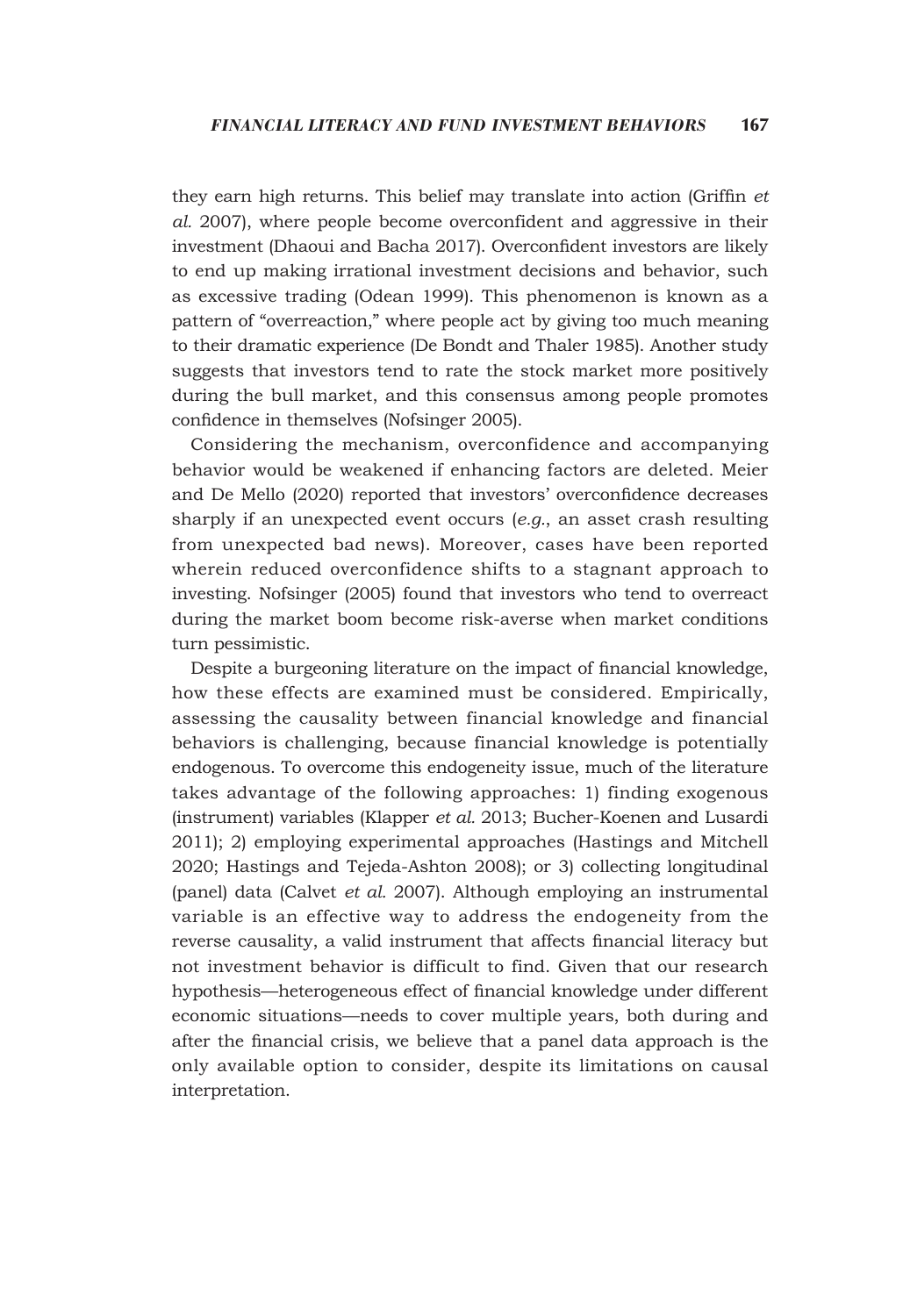they earn high returns. This belief may translate into action (Griffin *et al.* 2007), where people become overconfident and aggressive in their investment (Dhaoui and Bacha 2017). Overconfident investors are likely to end up making irrational investment decisions and behavior, such as excessive trading (Odean 1999). This phenomenon is known as a pattern of "overreaction," where people act by giving too much meaning to their dramatic experience (De Bondt and Thaler 1985). Another study suggests that investors tend to rate the stock market more positively during the bull market, and this consensus among people promotes confidence in themselves (Nofsinger 2005).

Considering the mechanism, overconfidence and accompanying behavior would be weakened if enhancing factors are deleted. Meier and De Mello (2020) reported that investors' overconfidence decreases sharply if an unexpected event occurs (*e.g.*, an asset crash resulting from unexpected bad news). Moreover, cases have been reported wherein reduced overconfidence shifts to a stagnant approach to investing. Nofsinger (2005) found that investors who tend to overreact during the market boom become risk-averse when market conditions turn pessimistic.

Despite a burgeoning literature on the impact of financial knowledge, how these effects are examined must be considered. Empirically, assessing the causality between financial knowledge and financial behaviors is challenging, because financial knowledge is potentially endogenous. To overcome this endogeneity issue, much of the literature takes advantage of the following approaches: 1) finding exogenous (instrument) variables (Klapper *et al.* 2013; Bucher-Koenen and Lusardi 2011); 2) employing experimental approaches (Hastings and Mitchell 2020; Hastings and Tejeda-Ashton 2008); or 3) collecting longitudinal (panel) data (Calvet *et al.* 2007). Although employing an instrumental variable is an effective way to address the endogeneity from the reverse causality, a valid instrument that affects financial literacy but not investment behavior is difficult to find. Given that our research hypothesis—heterogeneous effect of financial knowledge under different economic situations—needs to cover multiple years, both during and after the financial crisis, we believe that a panel data approach is the only available option to consider, despite its limitations on causal interpretation.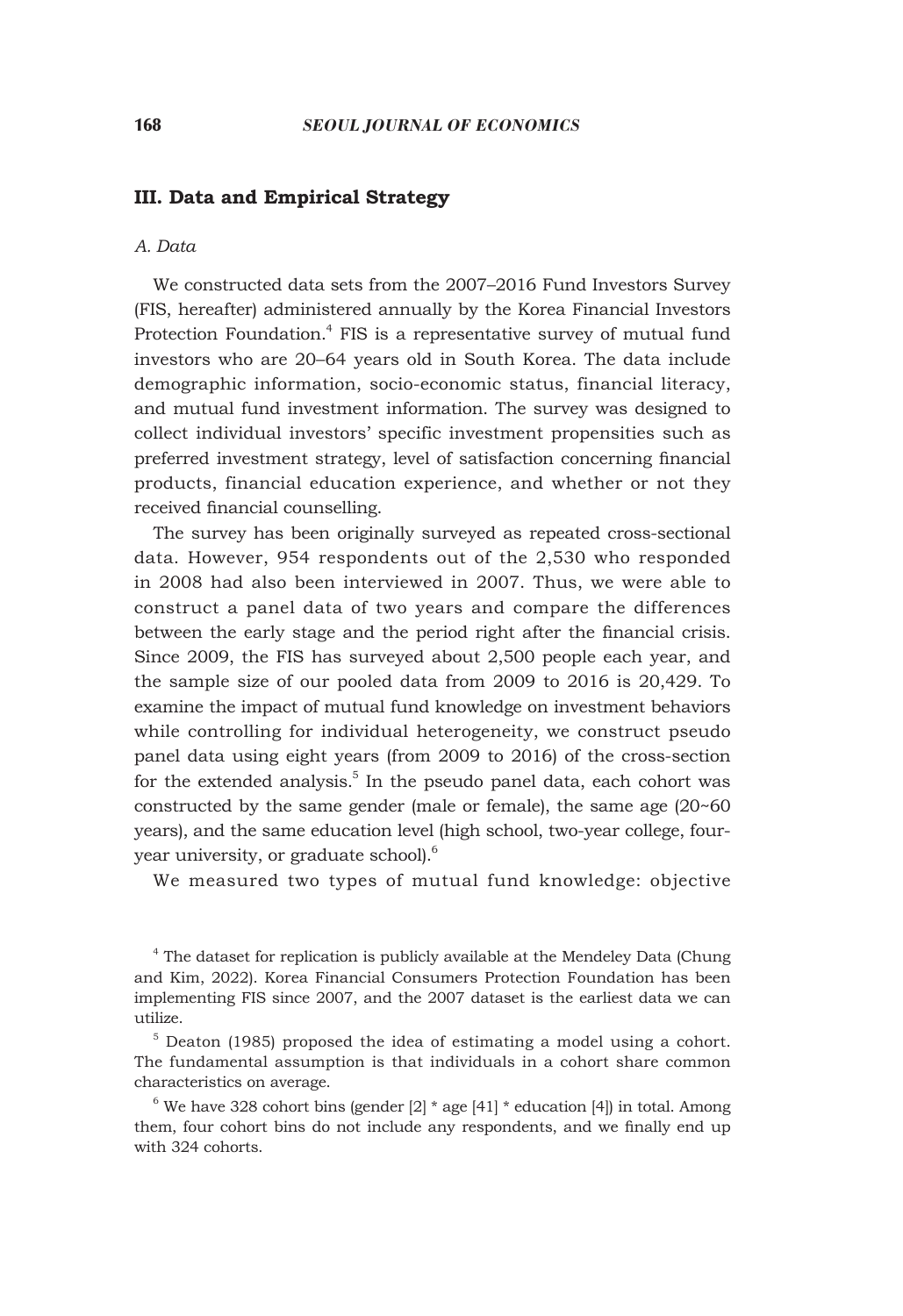# **III. Data and Empirical Strategy**

#### *A. Data*

We constructed data sets from the 2007–2016 Fund Investors Survey (FIS, hereafter) administered annually by the Korea Financial Investors Protection Foundation.<sup>4</sup> FIS is a representative survey of mutual fund investors who are 20–64 years old in South Korea. The data include demographic information, socio-economic status, financial literacy, and mutual fund investment information. The survey was designed to collect individual investors' specific investment propensities such as preferred investment strategy, level of satisfaction concerning financial products, financial education experience, and whether or not they received financial counselling.

The survey has been originally surveyed as repeated cross-sectional data. However, 954 respondents out of the 2,530 who responded in 2008 had also been interviewed in 2007. Thus, we were able to construct a panel data of two years and compare the differences between the early stage and the period right after the financial crisis. Since 2009, the FIS has surveyed about 2,500 people each year, and the sample size of our pooled data from 2009 to 2016 is 20,429. To examine the impact of mutual fund knowledge on investment behaviors while controlling for individual heterogeneity, we construct pseudo panel data using eight years (from 2009 to 2016) of the cross-section for the extended analysis.<sup>5</sup> In the pseudo panel data, each cohort was constructed by the same gender (male or female), the same age (20~60 years), and the same education level (high school, two-year college, fouryear university, or graduate school).<sup>6</sup>

We measured two types of mutual fund knowledge: objective

<sup>4</sup> The dataset for replication is publicly available at the Mendeley Data (Chung and Kim, 2022). Korea Financial Consumers Protection Foundation has been implementing FIS since 2007, and the 2007 dataset is the earliest data we can utilize.

5 Deaton (1985) proposed the idea of estimating a model using a cohort. The fundamental assumption is that individuals in a cohort share common characteristics on average.

 $6$  We have 328 cohort bins (gender [2]  $*$  age [41]  $*$  education [4]) in total. Among them, four cohort bins do not include any respondents, and we finally end up with 324 cohorts.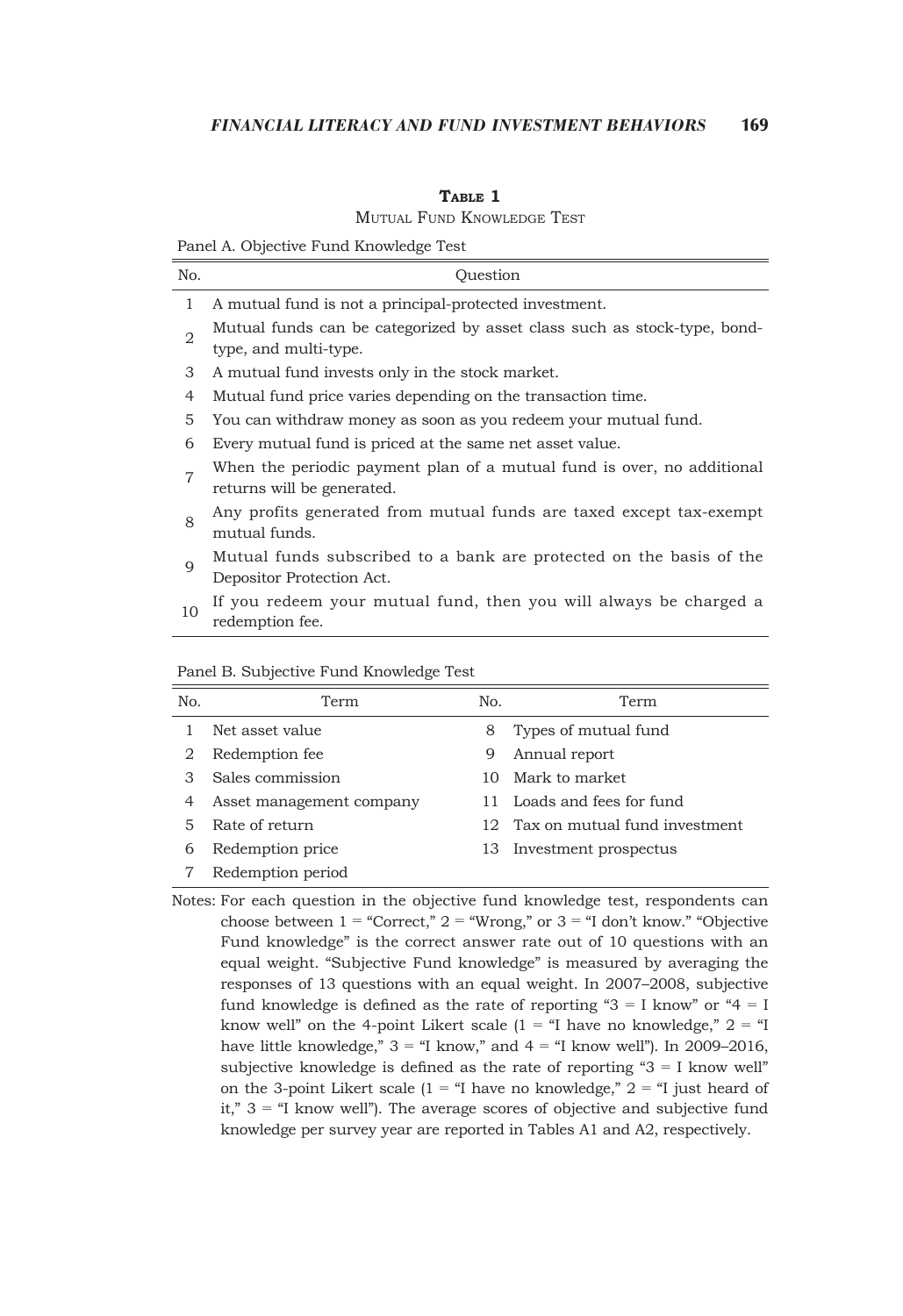#### **Table 1**

Mutual Fund Knowledge Test

Panel A. Objective Fund Knowledge Test

| No.            | Ouestion                                                                                             |
|----------------|------------------------------------------------------------------------------------------------------|
| 1              | A mutual fund is not a principal-protected investment.                                               |
| 2              | Mutual funds can be categorized by asset class such as stock-type, bond-<br>type, and multi-type.    |
| 3              | A mutual fund invests only in the stock market.                                                      |
| 4              | Mutual fund price varies depending on the transaction time.                                          |
| 5              | You can withdraw money as soon as you redeem your mutual fund.                                       |
| 6              | Every mutual fund is priced at the same net asset value.                                             |
| $\overline{7}$ | When the periodic payment plan of a mutual fund is over, no additional<br>returns will be generated. |
| 8              | Any profits generated from mutual funds are taxed except tax-exempt<br>mutual funds.                 |
| $\mathbf Q$    | Mutual funds subscribed to a bank are protected on the basis of the<br>Depositor Protection Act.     |
| 10             | If you redeem your mutual fund, then you will always be charged a<br>redemption fee.                 |

| No. | Term                     | No. | Term                          |
|-----|--------------------------|-----|-------------------------------|
|     | Net asset value          | 8   | Types of mutual fund          |
| 2   | Redemption fee           | 9   | Annual report                 |
| 3   | Sales commission         | 10  | Mark to market                |
| 4   | Asset management company | 11  | Loads and fees for fund       |
| 5.  | Rate of return           | 12. | Tax on mutual fund investment |
| 6   | Redemption price         | 13. | Investment prospectus         |
|     | Redemption period        |     |                               |

Panel B. Subjective Fund Knowledge Test

Notes: For each question in the objective fund knowledge test, respondents can choose between  $1$  = "Correct,"  $2$  = "Wrong," or  $3$  = "I don't know." "Objective Fund knowledge" is the correct answer rate out of 10 questions with an equal weight. "Subjective Fund knowledge" is measured by averaging the responses of 13 questions with an equal weight. In 2007–2008, subjective fund knowledge is defined as the rate of reporting " $3 = I$  know" or " $4 = I$ know well" on the 4-point Likert scale  $(1 - \alpha I)$  have no knowledge,"  $(2 - \alpha I)$ have little knowledge,"  $3 = 1$  know," and  $4 = 1$  know well"). In 2009–2016, subjective knowledge is defined as the rate of reporting " $3 = I$  know well" on the 3-point Likert scale (1 = "I have no knowledge,"  $2 =$  "I just heard of it,"  $3 = 1$  know well"). The average scores of objective and subjective fund knowledge per survey year are reported in Tables A1 and A2, respectively.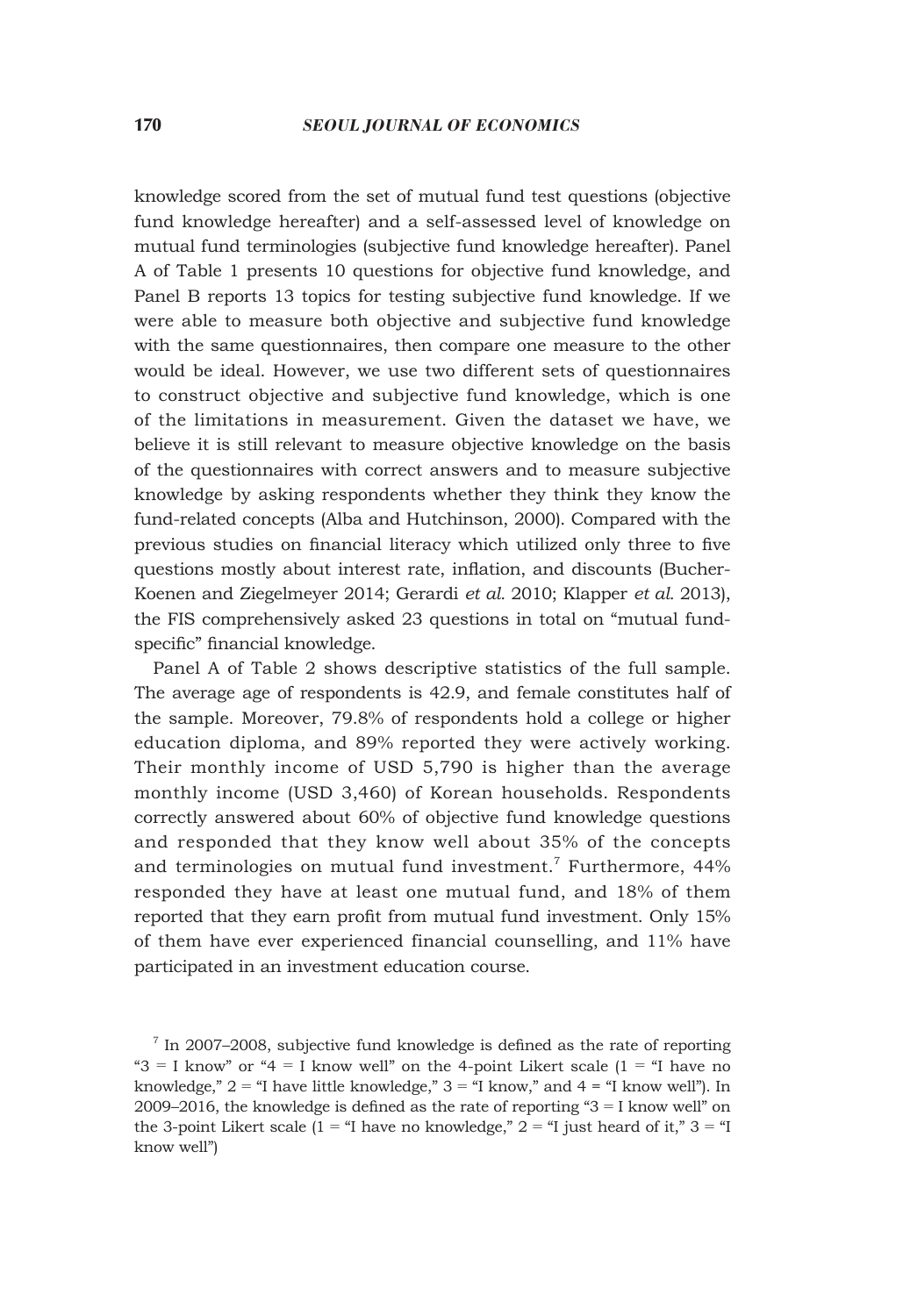knowledge scored from the set of mutual fund test questions (objective fund knowledge hereafter) and a self-assessed level of knowledge on mutual fund terminologies (subjective fund knowledge hereafter). Panel A of Table 1 presents 10 questions for objective fund knowledge, and Panel B reports 13 topics for testing subjective fund knowledge. If we were able to measure both objective and subjective fund knowledge with the same questionnaires, then compare one measure to the other would be ideal. However, we use two different sets of questionnaires to construct objective and subjective fund knowledge, which is one of the limitations in measurement. Given the dataset we have, we believe it is still relevant to measure objective knowledge on the basis of the questionnaires with correct answers and to measure subjective knowledge by asking respondents whether they think they know the fund-related concepts (Alba and Hutchinson, 2000). Compared with the previous studies on financial literacy which utilized only three to five questions mostly about interest rate, inflation, and discounts (Bucher-Koenen and Ziegelmeyer 2014; Gerardi *et al.* 2010; Klapper *et al.* 2013), the FIS comprehensively asked 23 questions in total on "mutual fundspecific" financial knowledge.

Panel A of Table 2 shows descriptive statistics of the full sample. The average age of respondents is 42.9, and female constitutes half of the sample. Moreover, 79.8% of respondents hold a college or higher education diploma, and 89% reported they were actively working. Their monthly income of USD 5,790 is higher than the average monthly income (USD 3,460) of Korean households. Respondents correctly answered about 60% of objective fund knowledge questions and responded that they know well about 35% of the concepts and terminologies on mutual fund investment.<sup>7</sup> Furthermore, 44% responded they have at least one mutual fund, and 18% of them reported that they earn profit from mutual fund investment. Only 15% of them have ever experienced financial counselling, and 11% have participated in an investment education course.

<sup>&</sup>lt;sup>7</sup> In 2007–2008, subjective fund knowledge is defined as the rate of reporting " $3 = I$  know" or " $4 = I$  know well" on the 4-point Likert scale  $(1 = 1)$ " have no knowledge,"  $2 =$  "I have little knowledge,"  $3 =$  "I know," and  $4 =$  "I know well"). In 2009–2016, the knowledge is defined as the rate of reporting " $3 = I$  know well" on the 3-point Likert scale (1 = "I have no knowledge,"  $2 =$  "I just heard of it,"  $3 =$  "I know well")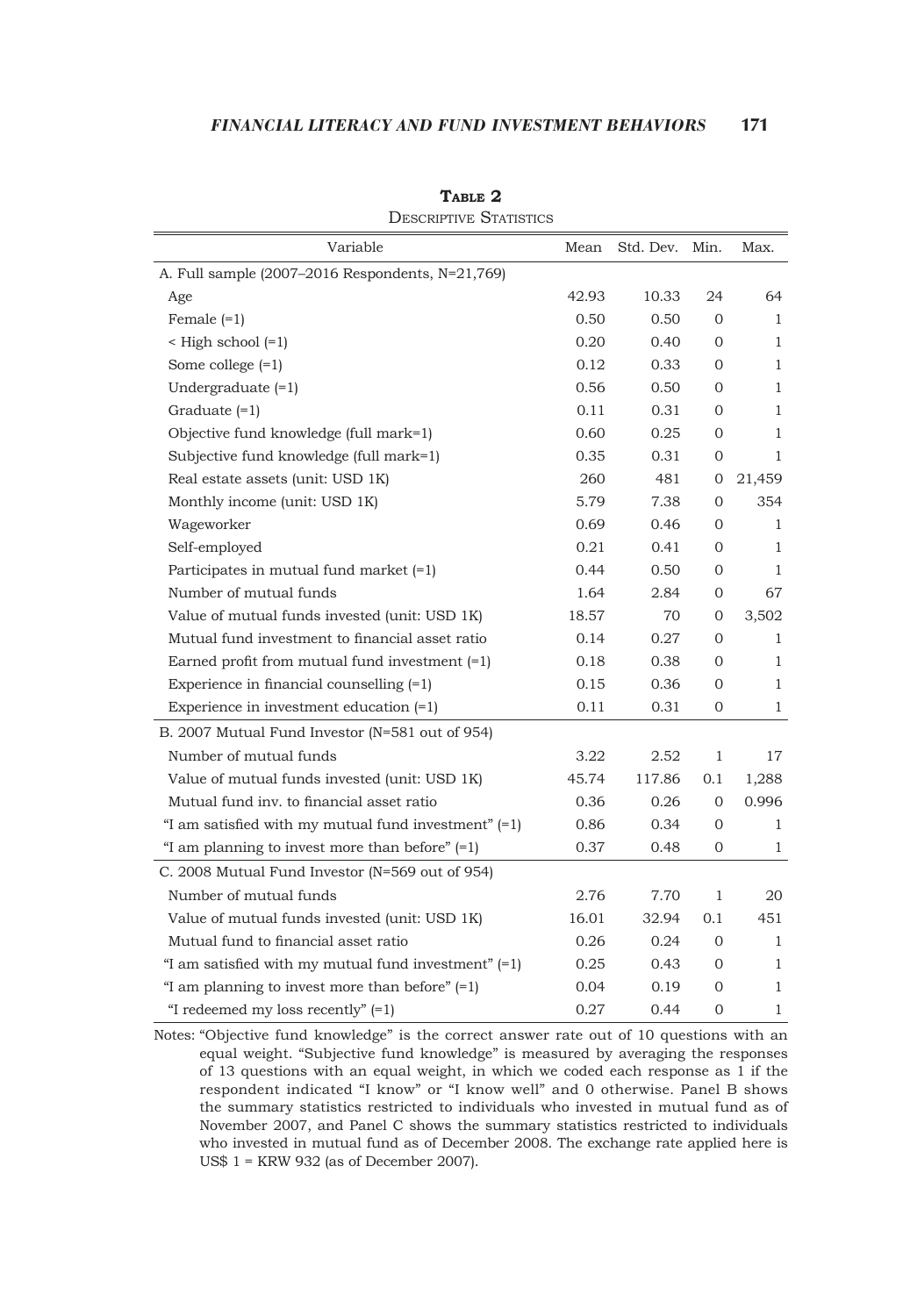| Variable                                               | Mean  | Std. Dev. | Min.         | Max.         |
|--------------------------------------------------------|-------|-----------|--------------|--------------|
| A. Full sample (2007-2016 Respondents, N=21,769)       |       |           |              |              |
| Age                                                    | 42.93 | 10.33     | 24           | 64           |
| Female $(=1)$                                          | 0.50  | 0.50      | $\mathbf{0}$ | $\mathbf{1}$ |
| $\leq$ High school $(=1)$                              | 0.20  | 0.40      | $\mathbf{0}$ | 1            |
| Some college $(=1)$                                    | 0.12  | 0.33      | $\mathbf{0}$ | $\mathbf{1}$ |
| Undergraduate $(=1)$                                   | 0.56  | 0.50      | $\mathbf{0}$ | $\mathbf{1}$ |
| Graduate $(=1)$                                        | 0.11  | 0.31      | $\mathbf{0}$ | 1            |
| Objective fund knowledge (full mark=1)                 | 0.60  | 0.25      | $\mathbf{0}$ | 1            |
| Subjective fund knowledge (full mark=1)                | 0.35  | 0.31      | 0            | $\mathbf{1}$ |
| Real estate assets (unit: USD 1K)                      | 260   | 481       | 0            | 21,459       |
| Monthly income (unit: USD 1K)                          | 5.79  | 7.38      | 0            | 354          |
| Wageworker                                             | 0.69  | 0.46      | $\mathbf{0}$ | 1            |
| Self-employed                                          | 0.21  | 0.41      | $\Omega$     | 1            |
| Participates in mutual fund market $(=1)$              | 0.44  | 0.50      | 0            | $\mathbf{1}$ |
| Number of mutual funds                                 | 1.64  | 2.84      | $\mathbf{0}$ | 67           |
| Value of mutual funds invested (unit: USD 1K)          | 18.57 | 70        | 0            | 3,502        |
| Mutual fund investment to financial asset ratio        | 0.14  | 0.27      | $\mathbf{0}$ | $\mathbf{1}$ |
| Earned profit from mutual fund investment $(=1)$       | 0.18  | 0.38      | $\mathbf{0}$ | 1            |
| Experience in financial counselling $(=1)$             | 0.15  | 0.36      | $\mathbf{0}$ | 1            |
| Experience in investment education $(=1)$              | 0.11  | 0.31      | 0            | 1            |
| B. 2007 Mutual Fund Investor (N=581 out of 954)        |       |           |              |              |
| Number of mutual funds                                 | 3.22  | 2.52      | $\mathbf{1}$ | 17           |
| Value of mutual funds invested (unit: USD 1K)          | 45.74 | 117.86    | 0.1          | 1,288        |
| Mutual fund inv. to financial asset ratio              | 0.36  | 0.26      | $\mathbf{0}$ | 0.996        |
| "I am satisfied with my mutual fund investment" $(=1)$ | 0.86  | 0.34      | 0            | $\mathbf{1}$ |
| "I am planning to invest more than before" $(=1)$      | 0.37  | 0.48      | 0            | 1            |
| C. 2008 Mutual Fund Investor (N=569 out of 954)        |       |           |              |              |
| Number of mutual funds                                 | 2.76  | 7.70      | 1            | 20           |
| Value of mutual funds invested (unit: USD 1K)          | 16.01 | 32.94     | 0.1          | 451          |
| Mutual fund to financial asset ratio                   | 0.26  | 0.24      | 0            | $\mathbf{1}$ |
| "I am satisfied with my mutual fund investment" $(=1)$ | 0.25  | 0.43      | 0            | 1            |
| "I am planning to invest more than before" $(=1)$      | 0.04  | 0.19      | 0            | $\mathbf{1}$ |
| "I redeemed my loss recently" $(=1)$                   | 0.27  | 0.44      | $\mathbf{0}$ | 1            |

**Table 2** DESCRIPTIVE STATISTICS

Notes: "Objective fund knowledge" is the correct answer rate out of 10 questions with an equal weight. "Subjective fund knowledge" is measured by averaging the responses of 13 questions with an equal weight, in which we coded each response as 1 if the respondent indicated "I know" or "I know well" and 0 otherwise. Panel B shows the summary statistics restricted to individuals who invested in mutual fund as of November 2007, and Panel C shows the summary statistics restricted to individuals who invested in mutual fund as of December 2008. The exchange rate applied here is US\$ 1 = KRW 932 (as of December 2007).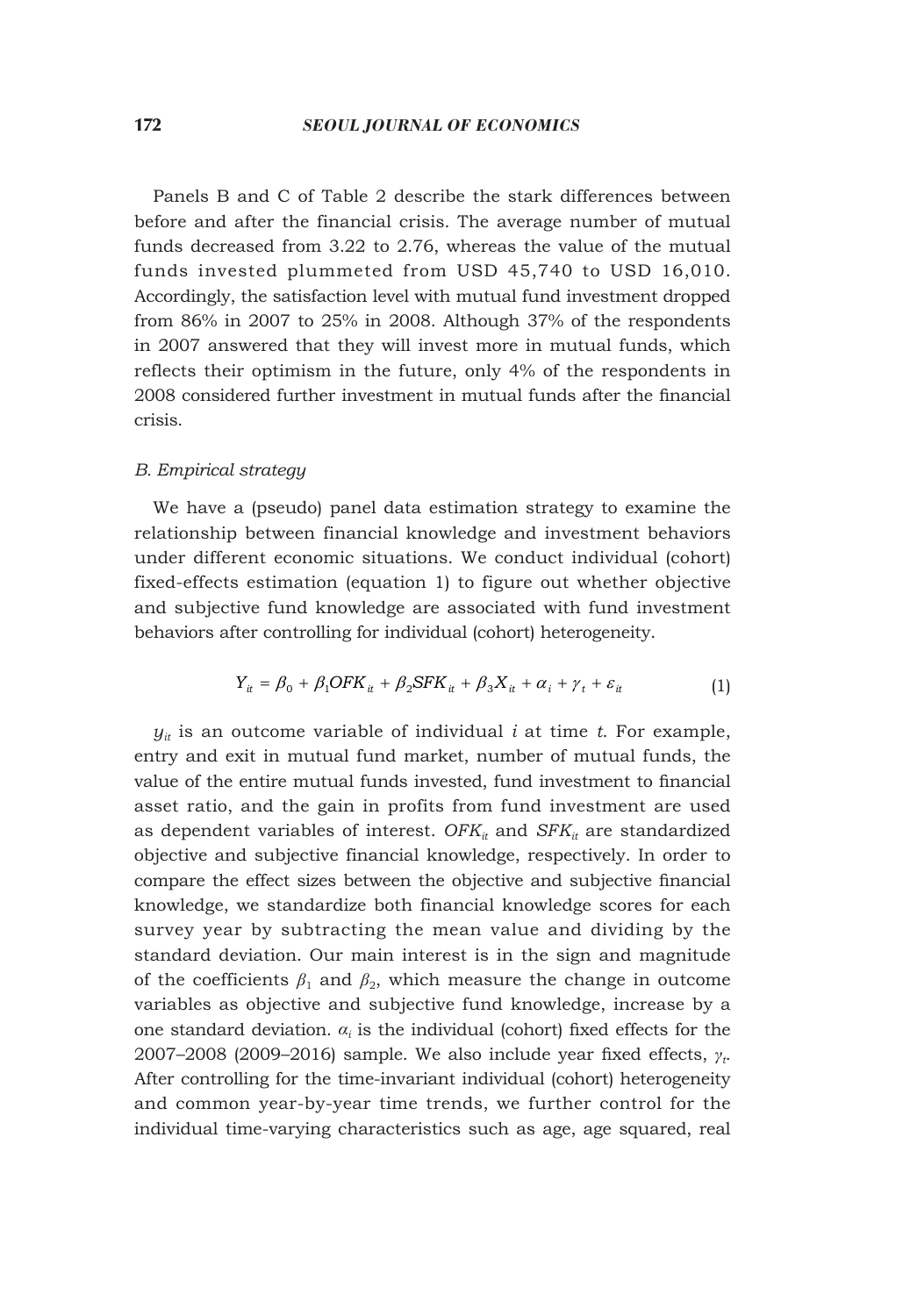Panels B and C of Table 2 describe the stark differences between before and after the financial crisis. The average number of mutual funds decreased from 3.22 to 2.76, whereas the value of the mutual funds invested plummeted from USD 45,740 to USD 16,010. Accordingly, the satisfaction level with mutual fund investment dropped from 86% in 2007 to 25% in 2008. Although 37% of the respondents in 2007 answered that they will invest more in mutual funds, which reflects their optimism in the future, only 4% of the respondents in 2008 considered further investment in mutual funds after the financial crisis.

#### *B. Empirical strategy*

We have a (pseudo) panel data estimation strategy to examine the relationship between financial knowledge and investment behaviors under different economic situations. We conduct individual (cohort) fixed-effects estimation (equation 1) to figure out whether objective and subjective fund knowledge are associated with fund investment behaviors after controlling for individual (cohort) heterogeneity.

$$
Y_{it} = \beta_0 + \beta_1 OFK_{it} + \beta_2 SFK_{it} + \beta_3 X_{it} + \alpha_i + \gamma_t + \varepsilon_{it}
$$
\n(1)

 $y_{it}$  is an outcome variable of individual *i* at time *t*. For example, entry and exit in mutual fund market, number of mutual funds, the value of the entire mutual funds invested, fund investment to financial asset ratio, and the gain in profits from fund investment are used as dependent variables of interest.  $OFK_{it}$  and  $SFK_{it}$  are standardized objective and subjective financial knowledge, respectively. In order to compare the effect sizes between the objective and subjective financial knowledge, we standardize both financial knowledge scores for each survey year by subtracting the mean value and dividing by the standard deviation. Our main interest is in the sign and magnitude of the coefficients  $\beta_1$  and  $\beta_2$ , which measure the change in outcome variables as objective and subjective fund knowledge, increase by a one standard deviation.  $a_i$  is the individual (cohort) fixed effects for the 2007–2008 (2009–2016) sample. We also include year fixed effects, *γ<sup>t</sup>* . After controlling for the time-invariant individual (cohort) heterogeneity and common year-by-year time trends, we further control for the individual time-varying characteristics such as age, age squared, real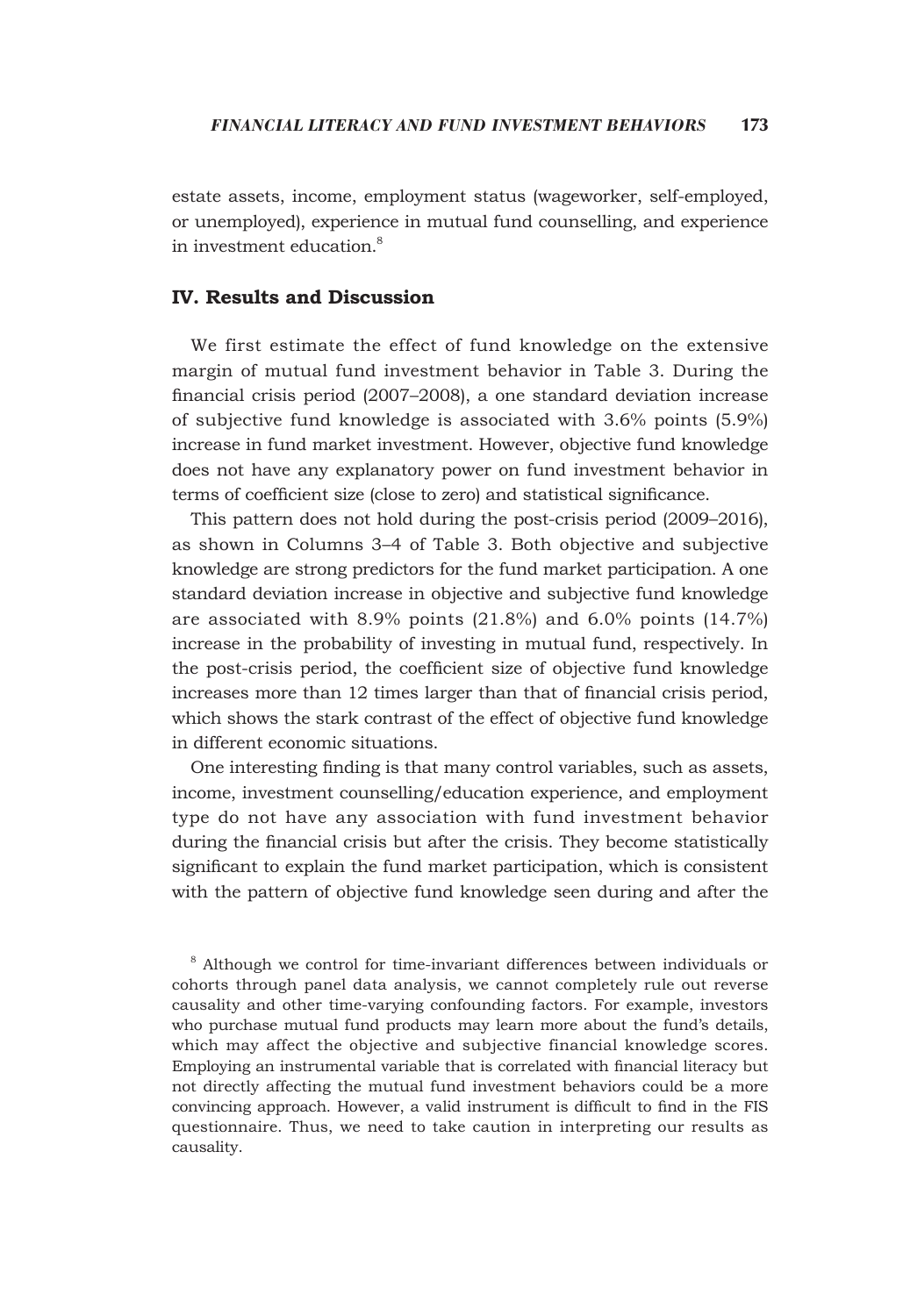estate assets, income, employment status (wageworker, self-employed, or unemployed), experience in mutual fund counselling, and experience in investment education.<sup>8</sup>

# **IV. Results and Discussion**

We first estimate the effect of fund knowledge on the extensive margin of mutual fund investment behavior in Table 3. During the financial crisis period (2007–2008), a one standard deviation increase of subjective fund knowledge is associated with 3.6% points (5.9%) increase in fund market investment. However, objective fund knowledge does not have any explanatory power on fund investment behavior in terms of coefficient size (close to zero) and statistical significance.

This pattern does not hold during the post-crisis period (2009–2016), as shown in Columns 3–4 of Table 3. Both objective and subjective knowledge are strong predictors for the fund market participation. A one standard deviation increase in objective and subjective fund knowledge are associated with 8.9% points (21.8%) and 6.0% points (14.7%) increase in the probability of investing in mutual fund, respectively. In the post-crisis period, the coefficient size of objective fund knowledge increases more than 12 times larger than that of financial crisis period, which shows the stark contrast of the effect of objective fund knowledge in different economic situations.

One interesting finding is that many control variables, such as assets, income, investment counselling/education experience, and employment type do not have any association with fund investment behavior during the financial crisis but after the crisis. They become statistically significant to explain the fund market participation, which is consistent with the pattern of objective fund knowledge seen during and after the

<sup>8</sup> Although we control for time-invariant differences between individuals or cohorts through panel data analysis, we cannot completely rule out reverse causality and other time-varying confounding factors. For example, investors who purchase mutual fund products may learn more about the fund's details, which may affect the objective and subjective financial knowledge scores. Employing an instrumental variable that is correlated with financial literacy but not directly affecting the mutual fund investment behaviors could be a more convincing approach. However, a valid instrument is difficult to find in the FIS questionnaire. Thus, we need to take caution in interpreting our results as causality.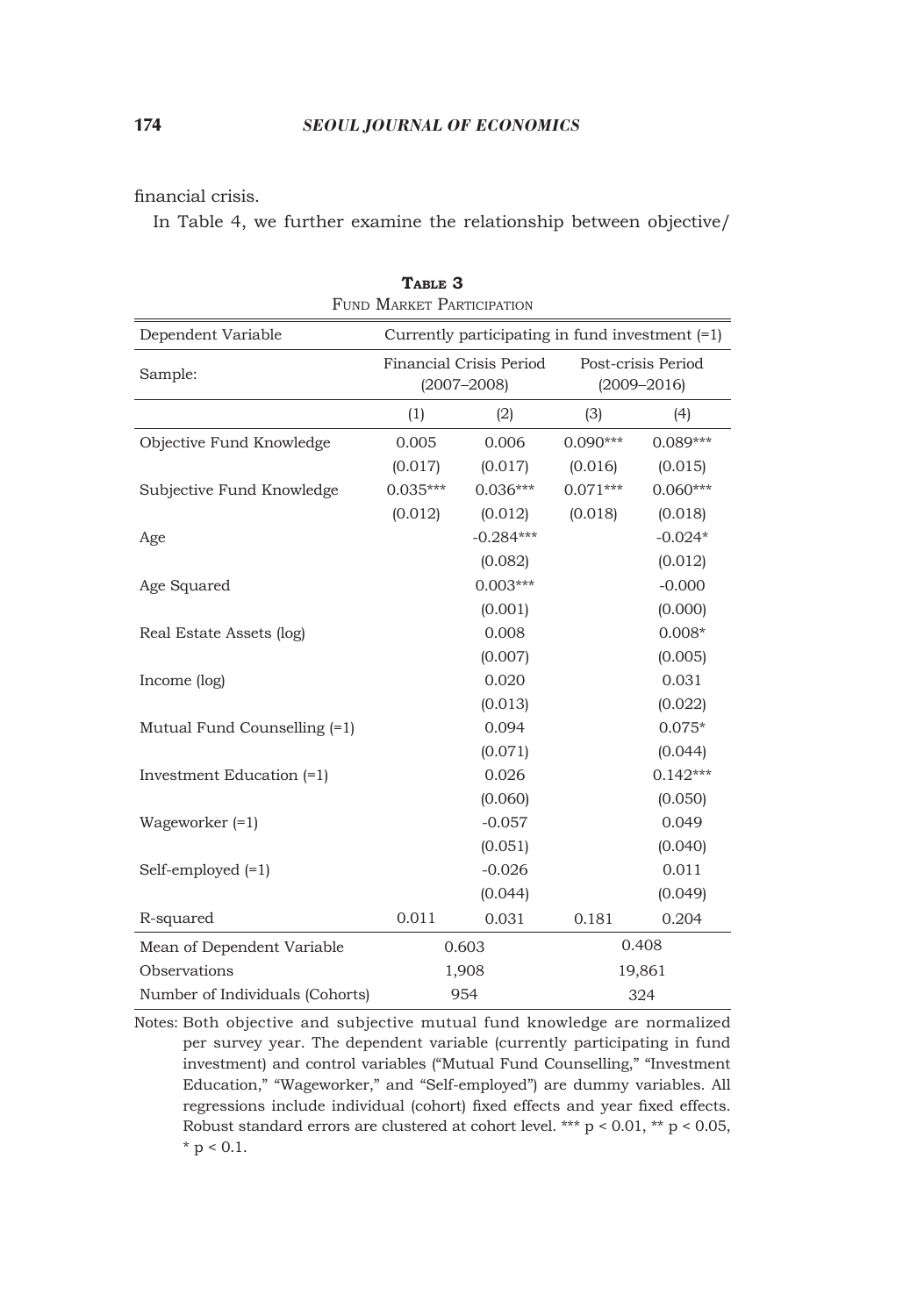financial crisis.

In Table 4, we further examine the relationship between objective/

|                                 | FUND MARKET PARTICIPATION |                                                   |                                       |            |  |  |  |  |  |
|---------------------------------|---------------------------|---------------------------------------------------|---------------------------------------|------------|--|--|--|--|--|
| Dependent Variable              |                           | Currently participating in fund investment $(=1)$ |                                       |            |  |  |  |  |  |
| Sample:                         |                           | Financial Crisis Period<br>$(2007 - 2008)$        | Post-crisis Period<br>$(2009 - 2016)$ |            |  |  |  |  |  |
|                                 | (1)                       | (2)                                               | (3)                                   | (4)        |  |  |  |  |  |
| Objective Fund Knowledge        | 0.005                     | 0.006                                             | $0.090***$                            | $0.089***$ |  |  |  |  |  |
|                                 | (0.017)                   | (0.017)                                           | (0.016)                               | (0.015)    |  |  |  |  |  |
| Subjective Fund Knowledge       | $0.035***$                | $0.036***$                                        | $0.071***$                            | $0.060***$ |  |  |  |  |  |
|                                 | (0.012)                   | (0.012)                                           | (0.018)                               | (0.018)    |  |  |  |  |  |
| Age                             |                           | $-0.284***$                                       |                                       | $-0.024*$  |  |  |  |  |  |
|                                 |                           | (0.082)                                           |                                       | (0.012)    |  |  |  |  |  |
| Age Squared                     |                           | $0.003***$                                        |                                       | $-0.000$   |  |  |  |  |  |
|                                 |                           | (0.001)                                           |                                       | (0.000)    |  |  |  |  |  |
| Real Estate Assets (log)        |                           | 0.008                                             |                                       | $0.008*$   |  |  |  |  |  |
|                                 |                           | (0.007)                                           |                                       | (0.005)    |  |  |  |  |  |
| Income (log)                    |                           | 0.020                                             |                                       | 0.031      |  |  |  |  |  |
|                                 |                           | (0.013)                                           |                                       | (0.022)    |  |  |  |  |  |
| Mutual Fund Counselling (=1)    |                           | 0.094                                             |                                       | $0.075*$   |  |  |  |  |  |
|                                 |                           | (0.071)                                           |                                       | (0.044)    |  |  |  |  |  |
| Investment Education (=1)       |                           | 0.026                                             |                                       | $0.142***$ |  |  |  |  |  |
|                                 |                           | (0.060)                                           |                                       | (0.050)    |  |  |  |  |  |
| Wageworker $(=1)$               |                           | $-0.057$                                          |                                       | 0.049      |  |  |  |  |  |
|                                 |                           | (0.051)                                           |                                       | (0.040)    |  |  |  |  |  |
| Self-employed $(=1)$            |                           | $-0.026$                                          |                                       | 0.011      |  |  |  |  |  |
|                                 |                           | (0.044)                                           |                                       | (0.049)    |  |  |  |  |  |
| R-squared                       | 0.011                     | 0.031                                             | 0.181                                 | 0.204      |  |  |  |  |  |
| Mean of Dependent Variable      |                           | 0.603                                             |                                       | 0.408      |  |  |  |  |  |
| Observations                    |                           | 1,908                                             | 19,861                                |            |  |  |  |  |  |
| Number of Individuals (Cohorts) |                           | 954                                               | 324                                   |            |  |  |  |  |  |

**Table 3**

Notes: Both objective and subjective mutual fund knowledge are normalized per survey year. The dependent variable (currently participating in fund investment) and control variables ("Mutual Fund Counselling," "Investment Education," "Wageworker," and "Self-employed") are dummy variables. All regressions include individual (cohort) fixed effects and year fixed effects. Robust standard errors are clustered at cohort level. \*\*\*  $p < 0.01$ , \*\*  $p < 0.05$ ,  $*$  p < 0.1.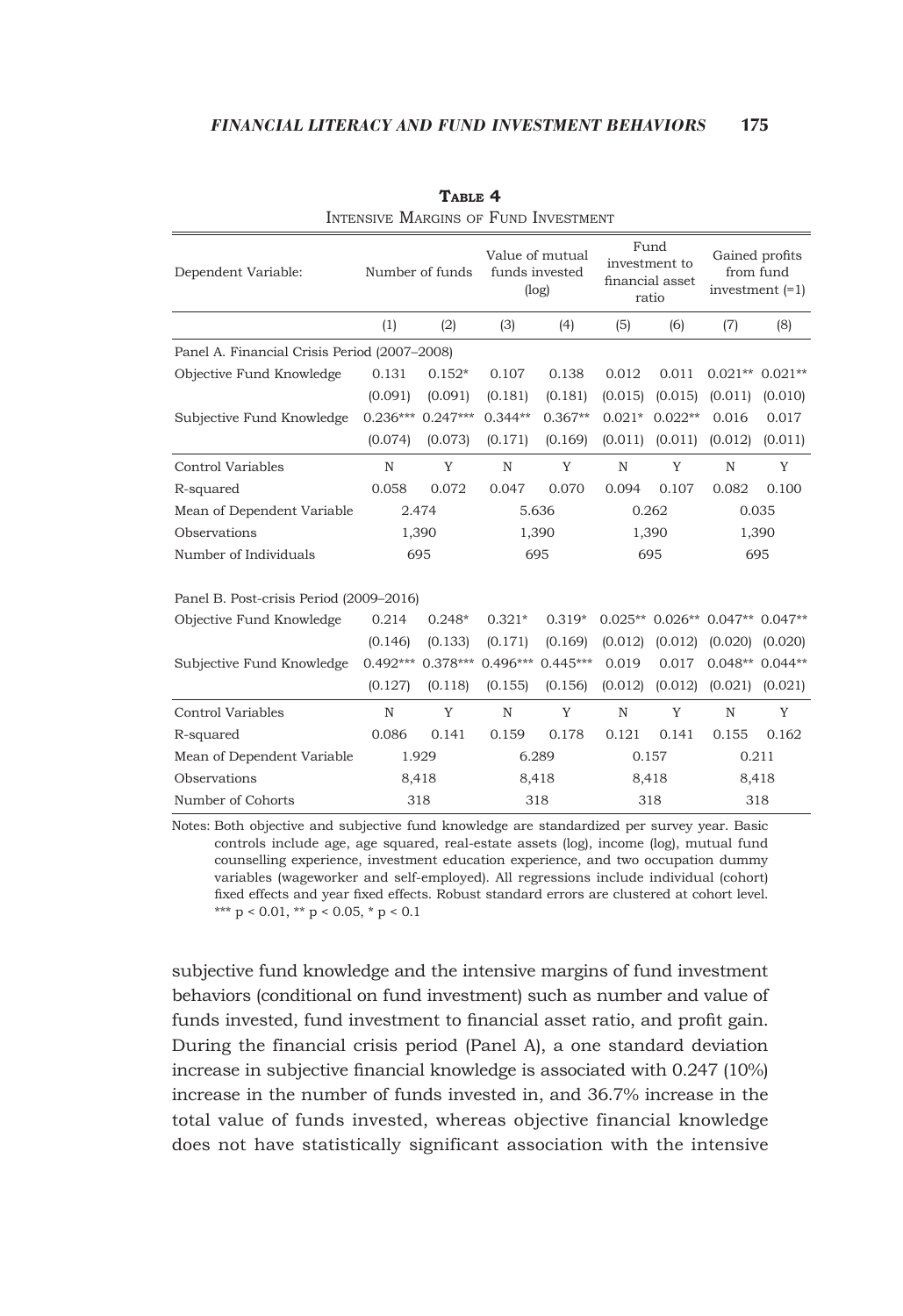| Dependent Variable:                          | Number of funds |            | Value of mutual<br>funds invested<br>(log) |           | Fund<br>investment to<br>financial asset<br>ratio |                  | Gained profits<br>from fund<br>investment $(=1)$ |         |  |
|----------------------------------------------|-----------------|------------|--------------------------------------------|-----------|---------------------------------------------------|------------------|--------------------------------------------------|---------|--|
|                                              | (1)             | (2)        | (3)                                        | (4)       | (5)                                               | (6)              | (7)                                              | (8)     |  |
| Panel A. Financial Crisis Period (2007–2008) |                 |            |                                            |           |                                                   |                  |                                                  |         |  |
| Objective Fund Knowledge                     | 0.131           | $0.152*$   | 0.107                                      | 0.138     | 0.012                                             | 0.011            | $0.021**0.021**$                                 |         |  |
|                                              | (0.091)         | (0.091)    | (0.181)                                    | (0.181)   | (0.015)                                           | (0.015)          | (0.011)                                          | (0.010) |  |
| Subjective Fund Knowledge                    | $0.236***$      | $0.247***$ | $0.344**$                                  | $0.367**$ |                                                   | $0.021* 0.022**$ | 0.016                                            | 0.017   |  |
|                                              | (0.074)         | (0.073)    | (0.171)                                    | (0.169)   | (0.011)                                           | (0.011)          | (0.012)                                          | (0.011) |  |
| Control Variables                            | $\mathbb N$     | Y          | $\mathbb N$                                | Y         | $\mathbb N$                                       | Y                | N                                                | Y       |  |
| R-squared                                    | 0.058           | 0.072      | 0.047                                      | 0.070     | 0.094                                             | 0.107            | 0.082                                            | 0.100   |  |
| Mean of Dependent Variable                   |                 | 2.474      |                                            | 5.636     |                                                   | 0.262            |                                                  | 0.035   |  |
| Observations                                 |                 | 1,390      |                                            | 1,390     |                                                   | 1,390            |                                                  | 1,390   |  |
| Number of Individuals                        | 695             |            | 695                                        |           | 695                                               |                  | 695                                              |         |  |
| Panel B. Post-crisis Period (2009–2016)      |                 |            |                                            |           |                                                   |                  |                                                  |         |  |
| Objective Fund Knowledge                     | 0.214           | $0.248*$   | $0.321*$                                   | $0.319*$  |                                                   |                  | $0.025**$ $0.026**$ $0.047**$ $0.047**$          |         |  |
|                                              | (0.146)         | (0.133)    | (0.171)                                    | (0.169)   | (0.012)                                           | (0.012)          | (0.020)                                          | (0.020) |  |
| Subjective Fund Knowledge                    | $0.492***$      |            | 0.378*** 0.496*** 0.445***                 |           | 0.019                                             | 0.017            | $0.048**0.044**$                                 |         |  |
|                                              | (0.127)         | (0.118)    | (0.155)                                    | (0.156)   | (0.012)                                           | (0.012)          | (0.021)                                          | (0.021) |  |
| Control Variables                            | N               | Y          | N                                          | Y         | N                                                 | Y                | N                                                | Y       |  |
| R-squared                                    | 0.086           | 0.141      | 0.159                                      | 0.178     | 0.121                                             | 0.141            | 0.155                                            | 0.162   |  |
| Mean of Dependent Variable                   |                 | 1.929      |                                            | 6.289     |                                                   | 0.157            |                                                  | 0.211   |  |
| Observations                                 |                 | 8,418      |                                            | 8,418     |                                                   | 8,418            | 8,418                                            |         |  |
| Number of Cohorts                            |                 | 318        |                                            | 318       |                                                   | 318              | 318                                              |         |  |

**Table 4** Intensive Margins of Fund Investment

Notes: Both objective and subjective fund knowledge are standardized per survey year. Basic controls include age, age squared, real-estate assets (log), income (log), mutual fund counselling experience, investment education experience, and two occupation dummy variables (wageworker and self-employed). All regressions include individual (cohort) fixed effects and year fixed effects. Robust standard errors are clustered at cohort level. \*\*\*  $p < 0.01$ , \*\*  $p < 0.05$ , \*  $p < 0.1$ 

subjective fund knowledge and the intensive margins of fund investment behaviors (conditional on fund investment) such as number and value of funds invested, fund investment to financial asset ratio, and profit gain. During the financial crisis period (Panel A), a one standard deviation increase in subjective financial knowledge is associated with 0.247 (10%) increase in the number of funds invested in, and 36.7% increase in the total value of funds invested, whereas objective financial knowledge does not have statistically significant association with the intensive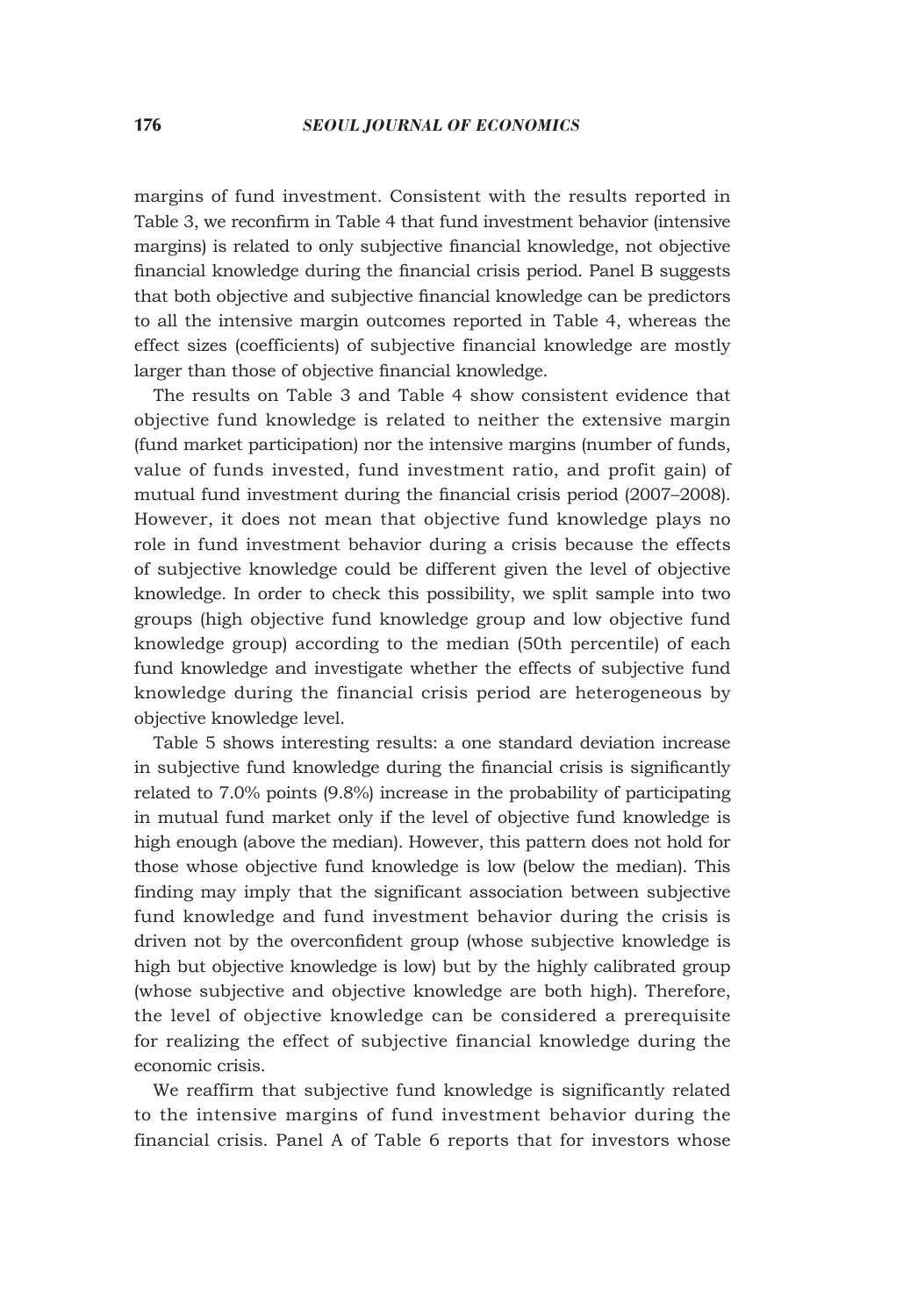margins of fund investment. Consistent with the results reported in Table 3, we reconfirm in Table 4 that fund investment behavior (intensive margins) is related to only subjective financial knowledge, not objective financial knowledge during the financial crisis period. Panel B suggests that both objective and subjective financial knowledge can be predictors to all the intensive margin outcomes reported in Table 4, whereas the effect sizes (coefficients) of subjective financial knowledge are mostly larger than those of objective financial knowledge.

The results on Table 3 and Table 4 show consistent evidence that objective fund knowledge is related to neither the extensive margin (fund market participation) nor the intensive margins (number of funds, value of funds invested, fund investment ratio, and profit gain) of mutual fund investment during the financial crisis period (2007–2008). However, it does not mean that objective fund knowledge plays no role in fund investment behavior during a crisis because the effects of subjective knowledge could be different given the level of objective knowledge. In order to check this possibility, we split sample into two groups (high objective fund knowledge group and low objective fund knowledge group) according to the median (50th percentile) of each fund knowledge and investigate whether the effects of subjective fund knowledge during the financial crisis period are heterogeneous by objective knowledge level.

Table 5 shows interesting results: a one standard deviation increase in subjective fund knowledge during the financial crisis is significantly related to 7.0% points (9.8%) increase in the probability of participating in mutual fund market only if the level of objective fund knowledge is high enough (above the median). However, this pattern does not hold for those whose objective fund knowledge is low (below the median). This finding may imply that the significant association between subjective fund knowledge and fund investment behavior during the crisis is driven not by the overconfident group (whose subjective knowledge is high but objective knowledge is low) but by the highly calibrated group (whose subjective and objective knowledge are both high). Therefore, the level of objective knowledge can be considered a prerequisite for realizing the effect of subjective financial knowledge during the economic crisis.

We reaffirm that subjective fund knowledge is significantly related to the intensive margins of fund investment behavior during the financial crisis. Panel A of Table 6 reports that for investors whose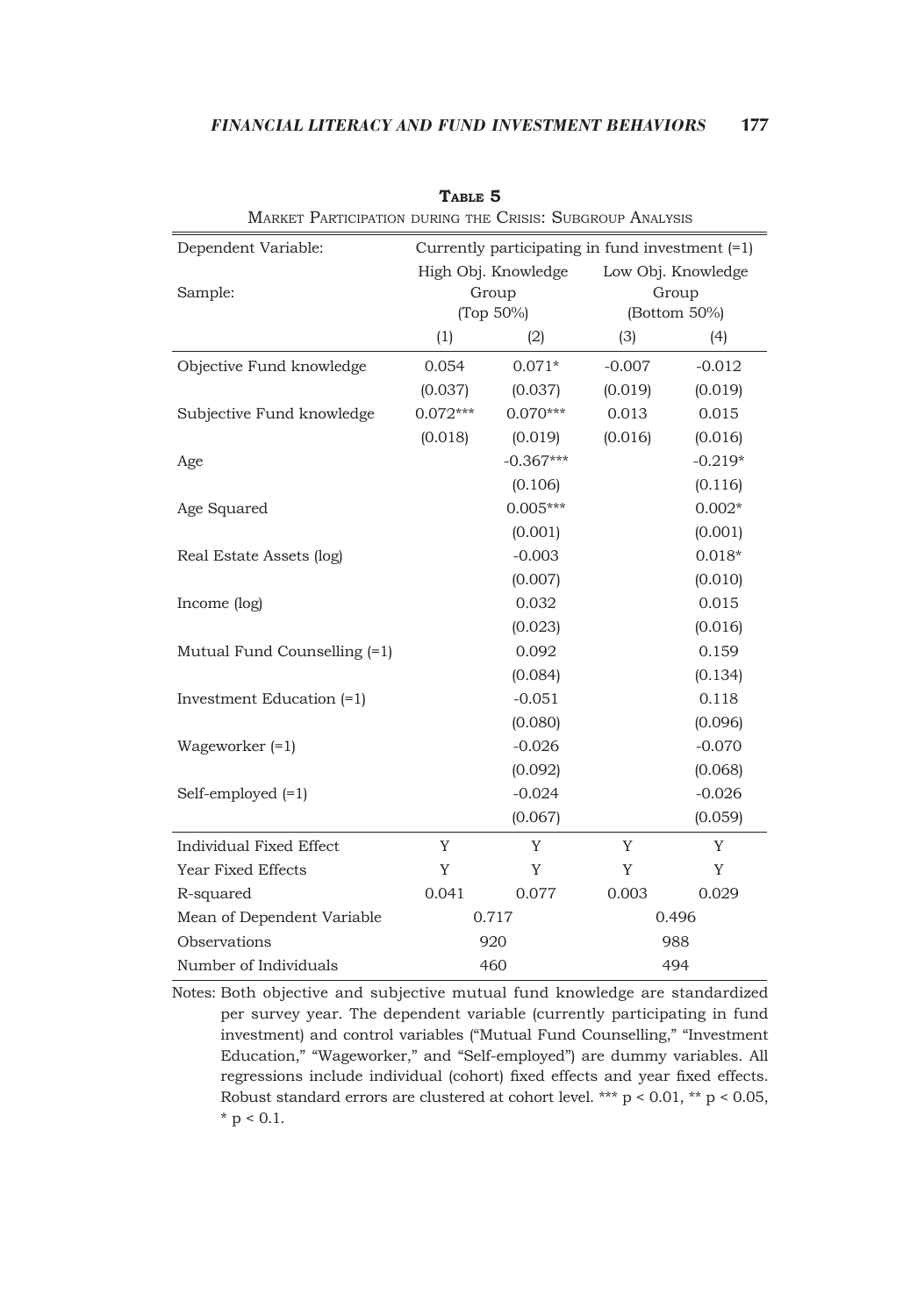| MARKET PARTICIPATION DURING THE CRISIS: SUBGROUP ANALYSIS |            |                                                   |                    |              |  |  |  |  |
|-----------------------------------------------------------|------------|---------------------------------------------------|--------------------|--------------|--|--|--|--|
| Dependent Variable:                                       |            | Currently participating in fund investment $(=1)$ |                    |              |  |  |  |  |
|                                                           |            | High Obj. Knowledge                               | Low Obj. Knowledge |              |  |  |  |  |
| Sample:                                                   |            | Group                                             | Group              |              |  |  |  |  |
|                                                           |            | (Top 50%)                                         |                    | (Bottom 50%) |  |  |  |  |
|                                                           | (1)        | (2)                                               | (3)                | (4)          |  |  |  |  |
| Objective Fund knowledge                                  | 0.054      | $0.071*$                                          | $-0.007$           | $-0.012$     |  |  |  |  |
|                                                           | (0.037)    | (0.037)                                           | (0.019)            | (0.019)      |  |  |  |  |
| Subjective Fund knowledge                                 | $0.072***$ | $0.070***$                                        | 0.013              | 0.015        |  |  |  |  |
|                                                           | (0.018)    | (0.019)                                           | (0.016)            | (0.016)      |  |  |  |  |
| Age                                                       |            | $-0.367***$                                       |                    | $-0.219*$    |  |  |  |  |
|                                                           |            | (0.106)                                           |                    | (0.116)      |  |  |  |  |
| Age Squared                                               |            | $0.005***$                                        |                    | $0.002*$     |  |  |  |  |
|                                                           |            | (0.001)                                           |                    | (0.001)      |  |  |  |  |
| Real Estate Assets (log)                                  |            | $-0.003$                                          |                    | $0.018*$     |  |  |  |  |
|                                                           |            |                                                   | (0.010)            |              |  |  |  |  |
| Income (log)                                              |            | 0.032                                             |                    | 0.015        |  |  |  |  |
|                                                           |            | (0.023)                                           |                    | (0.016)      |  |  |  |  |
| Mutual Fund Counselling (=1)                              |            | 0.092                                             |                    | 0.159        |  |  |  |  |
|                                                           |            | (0.084)                                           |                    | (0.134)      |  |  |  |  |
| Investment Education (=1)                                 |            | $-0.051$                                          |                    | 0.118        |  |  |  |  |
|                                                           |            | (0.080)                                           |                    | (0.096)      |  |  |  |  |
| Wageworker $(=1)$                                         |            | $-0.026$                                          |                    | $-0.070$     |  |  |  |  |
|                                                           |            | (0.092)                                           |                    | (0.068)      |  |  |  |  |
| Self-employed $(=1)$                                      |            | $-0.024$                                          |                    | $-0.026$     |  |  |  |  |
|                                                           |            | (0.067)                                           |                    | (0.059)      |  |  |  |  |
| Individual Fixed Effect                                   | Y          | Y                                                 | Y                  | Y            |  |  |  |  |
| Year Fixed Effects                                        | Y          | Y                                                 | Y                  | Y            |  |  |  |  |
| R-squared                                                 | 0.041      | 0.077                                             | 0.003              | 0.029        |  |  |  |  |
| Mean of Dependent Variable                                |            | 0.717                                             | 0.496              |              |  |  |  |  |
| Observations                                              |            | 920                                               | 988                |              |  |  |  |  |
| Number of Individuals                                     |            | 460                                               | 494                |              |  |  |  |  |

**Table 5**

Notes: Both objective and subjective mutual fund knowledge are standardized per survey year. The dependent variable (currently participating in fund investment) and control variables ("Mutual Fund Counselling," "Investment Education," "Wageworker," and "Self-employed") are dummy variables. All regressions include individual (cohort) fixed effects and year fixed effects. Robust standard errors are clustered at cohort level. \*\*\*  $p < 0.01$ , \*\*  $p < 0.05$ ,  $*$  p < 0.1.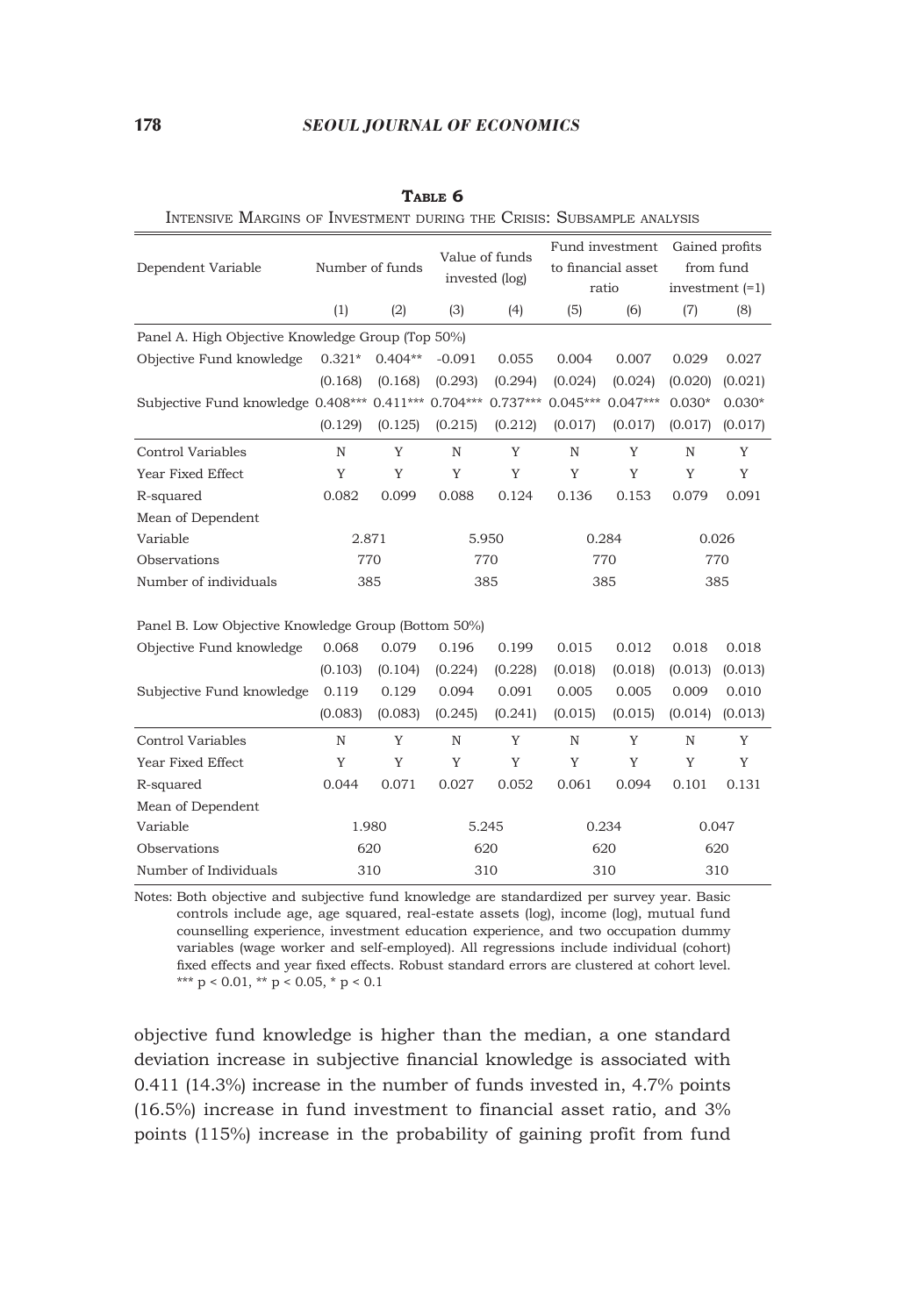|                                                      | Number of funds |           |                | Value of funds |                    | Fund investment | Gained profits    |          |  |
|------------------------------------------------------|-----------------|-----------|----------------|----------------|--------------------|-----------------|-------------------|----------|--|
| Dependent Variable                                   |                 |           | invested (log) |                | to financial asset |                 | from fund         |          |  |
|                                                      |                 |           |                |                |                    | ratio           | investment $(=1)$ |          |  |
|                                                      | (1)             | (2)       | (3)            | (4)            | (5)                | (6)             | (7)               | (8)      |  |
| Panel A. High Objective Knowledge Group (Top 50%)    |                 |           |                |                |                    |                 |                   |          |  |
| Objective Fund knowledge                             | $0.321*$        | $0.404**$ | $-0.091$       | 0.055          | 0.004              | 0.007           | 0.029             | 0.027    |  |
|                                                      | (0.168)         | (0.168)   | (0.293)        | (0.294)        | (0.024)            | (0.024)         | (0.020)           | (0.021)  |  |
| Subjective Fund knowledge 0.408*** 0.411*** 0.704*** |                 |           |                | $0.737***$     | $0.045***$         | $0.047***$      | $0.030*$          | $0.030*$ |  |
|                                                      | (0.129)         | (0.125)   | (0.215)        | (0.212)        | (0.017)            | (0.017)         | (0.017)           | (0.017)  |  |
| Control Variables                                    | $\mathbb N$     | Y         | N              | Y              | N                  | Y               | $\mathbb N$       | Y        |  |
| Year Fixed Effect                                    | Y               | Y         | Y              | Y              | Y                  | Y               | Y                 | Y        |  |
| R-squared                                            | 0.082           | 0.099     | 0.088          | 0.124          | 0.136              | 0.153           | 0.079             | 0.091    |  |
| Mean of Dependent                                    |                 |           |                |                |                    |                 |                   |          |  |
| Variable                                             | 2.871           |           |                | 5.950          |                    | 0.284           |                   | 0.026    |  |
| Observations                                         |                 | 770       |                | 770            |                    | 770             |                   | 770      |  |
| Number of individuals                                | 385             |           | 385            |                | 385                |                 | 385               |          |  |
| Panel B. Low Objective Knowledge Group (Bottom 50%)  |                 |           |                |                |                    |                 |                   |          |  |
| Objective Fund knowledge                             | 0.068           | 0.079     | 0.196          | 0.199          | 0.015              | 0.012           | 0.018             | 0.018    |  |
|                                                      | (0.103)         | (0.104)   | (0.224)        | (0.228)        | (0.018)            | (0.018)         | (0.013)           | (0.013)  |  |
| Subjective Fund knowledge                            | 0.119           | 0.129     | 0.094          | 0.091          | 0.005              | 0.005           | 0.009             | 0.010    |  |
|                                                      | (0.083)         | (0.083)   | (0.245)        | (0.241)        | (0.015)            | (0.015)         | (0.014)           | (0.013)  |  |
| Control Variables                                    | $\mathbb N$     | Y         | $\mathbb N$    | Y              | $\mathbb N$        | Y               | N                 | Y        |  |
| Year Fixed Effect                                    | Y               | Y         | Y              | Y              | Y                  | Y               | Y                 | Y        |  |
| R-squared                                            | 0.044           | 0.071     | 0.027          | 0.052          | 0.061              | 0.094           | 0.101             | 0.131    |  |
| Mean of Dependent                                    |                 |           |                |                |                    |                 |                   |          |  |
| Variable                                             | 1.980           |           |                | 5.245          |                    | 0.234           |                   | 0.047    |  |
| Observations                                         | 620             |           | 620            |                |                    | 620             | 620               |          |  |

**Table 6**

Intensive Margins of Investment during the Crisis: Subsample analysis

Notes: Both objective and subjective fund knowledge are standardized per survey year. Basic controls include age, age squared, real-estate assets (log), income (log), mutual fund counselling experience, investment education experience, and two occupation dummy variables (wage worker and self-employed). All regressions include individual (cohort) fixed effects and year fixed effects. Robust standard errors are clustered at cohort level. \*\*\*  $p < 0.01$ , \*\*  $p < 0.05$ , \*  $p < 0.1$ 

Number of Individuals 310 310 310 310 310 310

objective fund knowledge is higher than the median, a one standard deviation increase in subjective financial knowledge is associated with 0.411 (14.3%) increase in the number of funds invested in, 4.7% points (16.5%) increase in fund investment to financial asset ratio, and 3% points (115%) increase in the probability of gaining profit from fund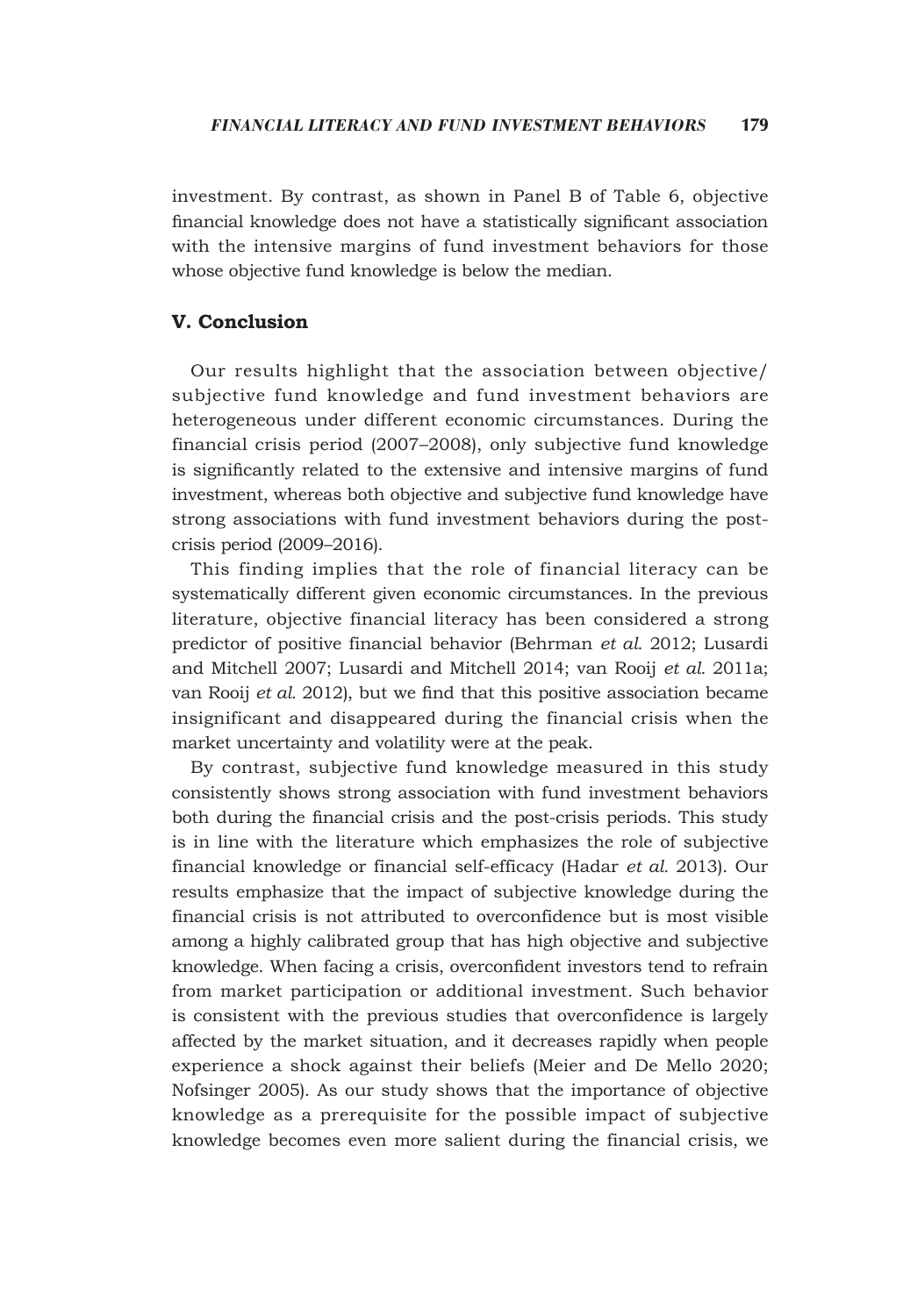investment. By contrast, as shown in Panel B of Table 6, objective financial knowledge does not have a statistically significant association with the intensive margins of fund investment behaviors for those whose objective fund knowledge is below the median.

# **V. Conclusion**

Our results highlight that the association between objective/ subjective fund knowledge and fund investment behaviors are heterogeneous under different economic circumstances. During the financial crisis period (2007–2008), only subjective fund knowledge is significantly related to the extensive and intensive margins of fund investment, whereas both objective and subjective fund knowledge have strong associations with fund investment behaviors during the postcrisis period (2009–2016).

This finding implies that the role of financial literacy can be systematically different given economic circumstances. In the previous literature, objective financial literacy has been considered a strong predictor of positive financial behavior (Behrman *et al.* 2012; Lusardi and Mitchell 2007; Lusardi and Mitchell 2014; van Rooij *et al.* 2011a; van Rooij *et al.* 2012), but we find that this positive association became insignificant and disappeared during the financial crisis when the market uncertainty and volatility were at the peak.

By contrast, subjective fund knowledge measured in this study consistently shows strong association with fund investment behaviors both during the financial crisis and the post-crisis periods. This study is in line with the literature which emphasizes the role of subjective financial knowledge or financial self-efficacy (Hadar *et al.* 2013). Our results emphasize that the impact of subjective knowledge during the financial crisis is not attributed to overconfidence but is most visible among a highly calibrated group that has high objective and subjective knowledge. When facing a crisis, overconfident investors tend to refrain from market participation or additional investment. Such behavior is consistent with the previous studies that overconfidence is largely affected by the market situation, and it decreases rapidly when people experience a shock against their beliefs (Meier and De Mello 2020; Nofsinger 2005). As our study shows that the importance of objective knowledge as a prerequisite for the possible impact of subjective knowledge becomes even more salient during the financial crisis, we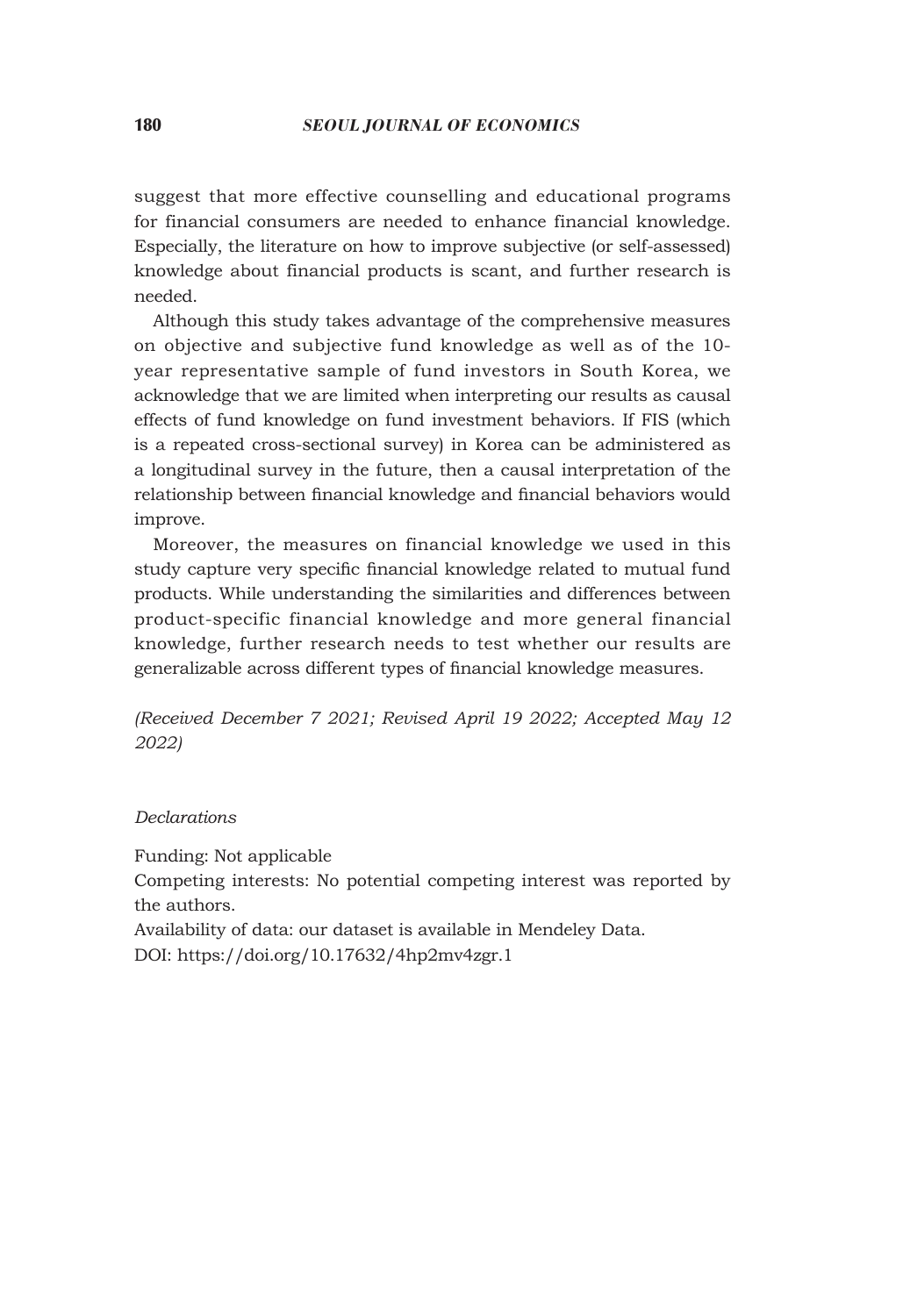suggest that more effective counselling and educational programs for financial consumers are needed to enhance financial knowledge. Especially, the literature on how to improve subjective (or self-assessed) knowledge about financial products is scant, and further research is needed.

Although this study takes advantage of the comprehensive measures on objective and subjective fund knowledge as well as of the 10 year representative sample of fund investors in South Korea, we acknowledge that we are limited when interpreting our results as causal effects of fund knowledge on fund investment behaviors. If FIS (which is a repeated cross-sectional survey) in Korea can be administered as a longitudinal survey in the future, then a causal interpretation of the relationship between financial knowledge and financial behaviors would improve.

Moreover, the measures on financial knowledge we used in this study capture very specific financial knowledge related to mutual fund products. While understanding the similarities and differences between product-specific financial knowledge and more general financial knowledge, further research needs to test whether our results are generalizable across different types of financial knowledge measures.

*(Received December 7 2021; Revised April 19 2022; Accepted May 12 2022)*

# *Declarations*

Funding: Not applicable

Competing interests: No potential competing interest was reported by the authors.

Availability of data: our dataset is available in Mendeley Data. DOI: https://doi.org/10.17632/4hp2mv4zgr.1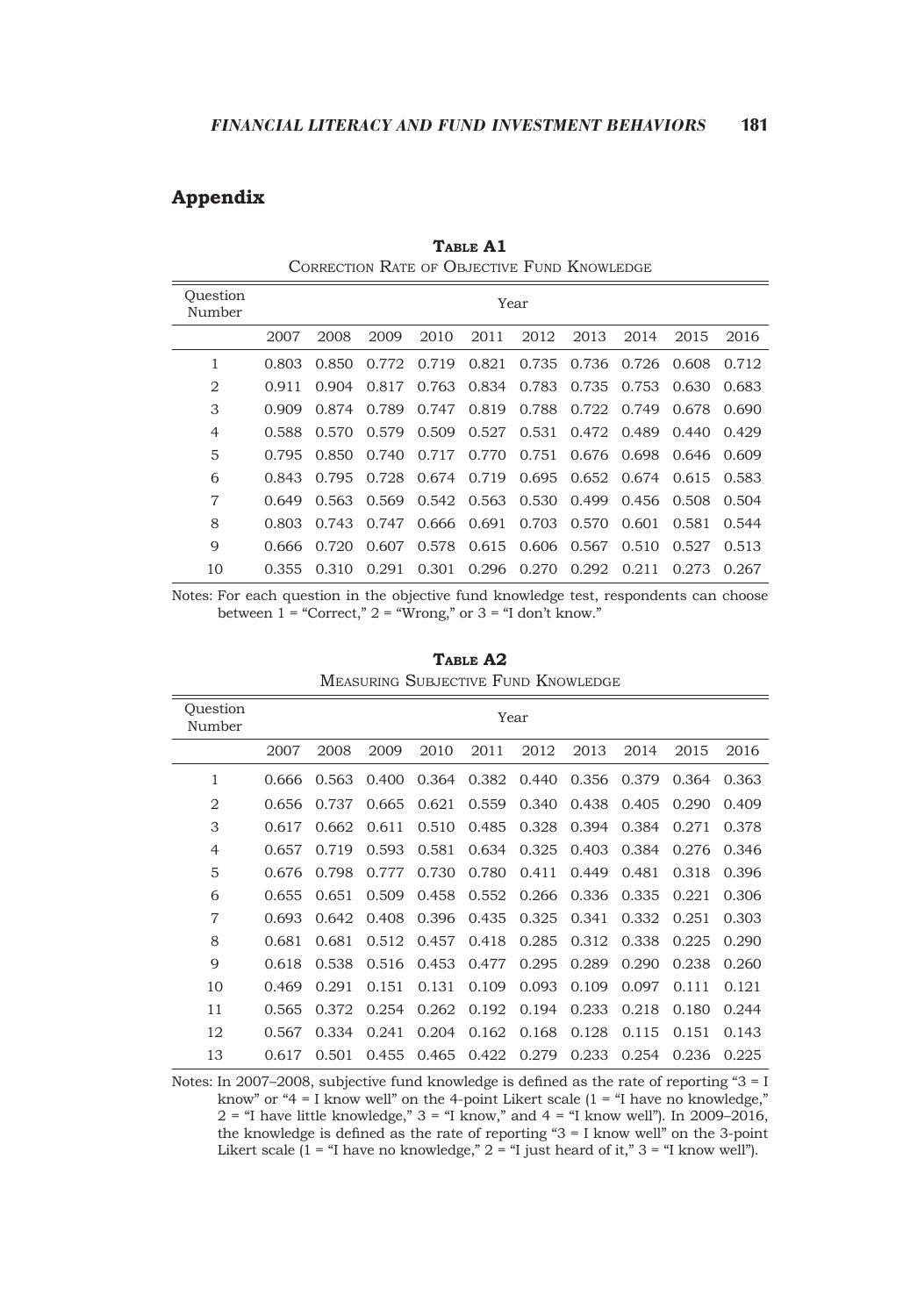# **Appendix**

| Ouestion<br>Number |       |       |       |       |                 | Year  |                         |             |         |       |
|--------------------|-------|-------|-------|-------|-----------------|-------|-------------------------|-------------|---------|-------|
|                    | 2007  | 2008  | 2009  | 2010  | 2011            | 2012  | 2013                    | 2014        | 2015    | 2016  |
| 1                  | 0.803 | 0.850 | 0.772 | 0.719 | 0.821           |       | 0.735 0.736 0.726       |             | - 0.608 | 0.712 |
| 2                  | 0.911 | 0.904 | 0.817 |       | 0.763 0.834     | 0.783 |                         | 0.735 0.753 | 0.630   | 0.683 |
| 3                  | 0.909 | 0.874 | 0.789 | 0.747 | 0.819           | 0.788 | 0.722                   | 0.749       | 0.678   | 0.690 |
| $\overline{4}$     | 0.588 | 0.570 | 0.579 | 0.509 | 0.527           | 0.531 |                         | 0.472 0.489 | 0.440   | 0.429 |
| 5                  | 0.795 | 0.850 | 0.740 | 0.717 | 0.770           | 0.751 |                         | 0.676 0.698 | 0.646   | 0.609 |
| 6                  | 0.843 | 0.795 | 0.728 |       | 0.674 0.719     |       | 0.695 0.652 0.674 0.615 |             |         | 0.583 |
| 7                  | 0.649 | 0.563 | 0.569 |       | 0.542 0.563     | 0.530 | 0.499                   | 0.456       | 0.508   | 0.504 |
| 8                  | 0.803 | 0.743 | 0.747 |       | $0.666$ $0.691$ | 0.703 | 0.570                   | 0.601       | 0.581   | 0.544 |
| 9                  | 0.666 | 0.720 | 0.607 | 0.578 | 0.615           | 0.606 | 0.567                   | 0.510       | 0.527   | 0.513 |
| 10                 | 0.355 | 0.310 | 0.291 | 0.301 | 0.296           | 0.270 | 0.292                   | 0.211       | 0.273   | 0.267 |

**Table A1** Correction Rate of Objective Fund Knowledge

Notes: For each question in the objective fund knowledge test, respondents can choose between  $1 =$  "Correct,"  $2 =$  "Wrong," or  $3 =$  "I don't know."

| Ouestion<br>Number |       | Year  |       |       |       |       |       |       |       |       |
|--------------------|-------|-------|-------|-------|-------|-------|-------|-------|-------|-------|
|                    | 2007  | 2008  | 2009  | 2010  | 2011  | 2012  | 2013  | 2014  | 2015  | 2016  |
| 1                  | 0.666 | 0.563 | 0.400 | 0.364 | 0.382 | 0.440 | 0.356 | 0.379 | 0.364 | 0.363 |
| $\overline{2}$     | 0.656 | 0.737 | 0.665 | 0.621 | 0.559 | 0.340 | 0.438 | 0.405 | 0.290 | 0.409 |
| 3                  | 0.617 | 0.662 | 0.611 | 0.510 | 0.485 | 0.328 | 0.394 | 0.384 | 0.271 | 0.378 |
| 4                  | 0.657 | 0.719 | 0.593 | 0.581 | 0.634 | 0.325 | 0.403 | 0.384 | 0.276 | 0.346 |
| 5                  | 0.676 | 0.798 | 0.777 | 0.730 | 0.780 | 0.411 | 0.449 | 0.481 | 0.318 | 0.396 |
| 6                  | 0.655 | 0.651 | 0.509 | 0.458 | 0.552 | 0.266 | 0.336 | 0.335 | 0.221 | 0.306 |
| $\overline{7}$     | 0.693 | 0.642 | 0.408 | 0.396 | 0.435 | 0.325 | 0.341 | 0.332 | 0.251 | 0.303 |
| 8                  | 0.681 | 0.681 | 0.512 | 0.457 | 0.418 | 0.285 | 0.312 | 0.338 | 0.225 | 0.290 |
| 9                  | 0.618 | 0.538 | 0.516 | 0.453 | 0.477 | 0.295 | 0.289 | 0.290 | 0.238 | 0.260 |
| 10                 | 0.469 | 0.291 | 0.151 | 0.131 | 0.109 | 0.093 | 0.109 | 0.097 | 0.111 | 0.121 |
| 11                 | 0.565 | 0.372 | 0.254 | 0.262 | 0.192 | 0.194 | 0.233 | 0.218 | 0.180 | 0.244 |
| 12                 | 0.567 | 0.334 | 0.241 | 0.204 | 0.162 | 0.168 | 0.128 | 0.115 | 0.151 | 0.143 |
| 13                 | 0.617 | 0.501 | 0.455 | 0.465 | 0.422 | 0.279 | 0.233 | 0.254 | 0.236 | 0.225 |

**Table A2** Measuring Subjective Fund Knowledge

Notes: In 2007–2008, subjective fund knowledge is defined as the rate of reporting "3 = I know" or "4 = I know well" on the 4-point Likert scale (1 = "I have no knowledge," 2 = "I have little knowledge," 3 = "I know," and 4 = "I know well"). In 2009–2016, the knowledge is defined as the rate of reporting "3 = I know well" on the 3-point Likert scale (1 = "I have no knowledge," = "I just heard of it,"  $3$  = "I know well").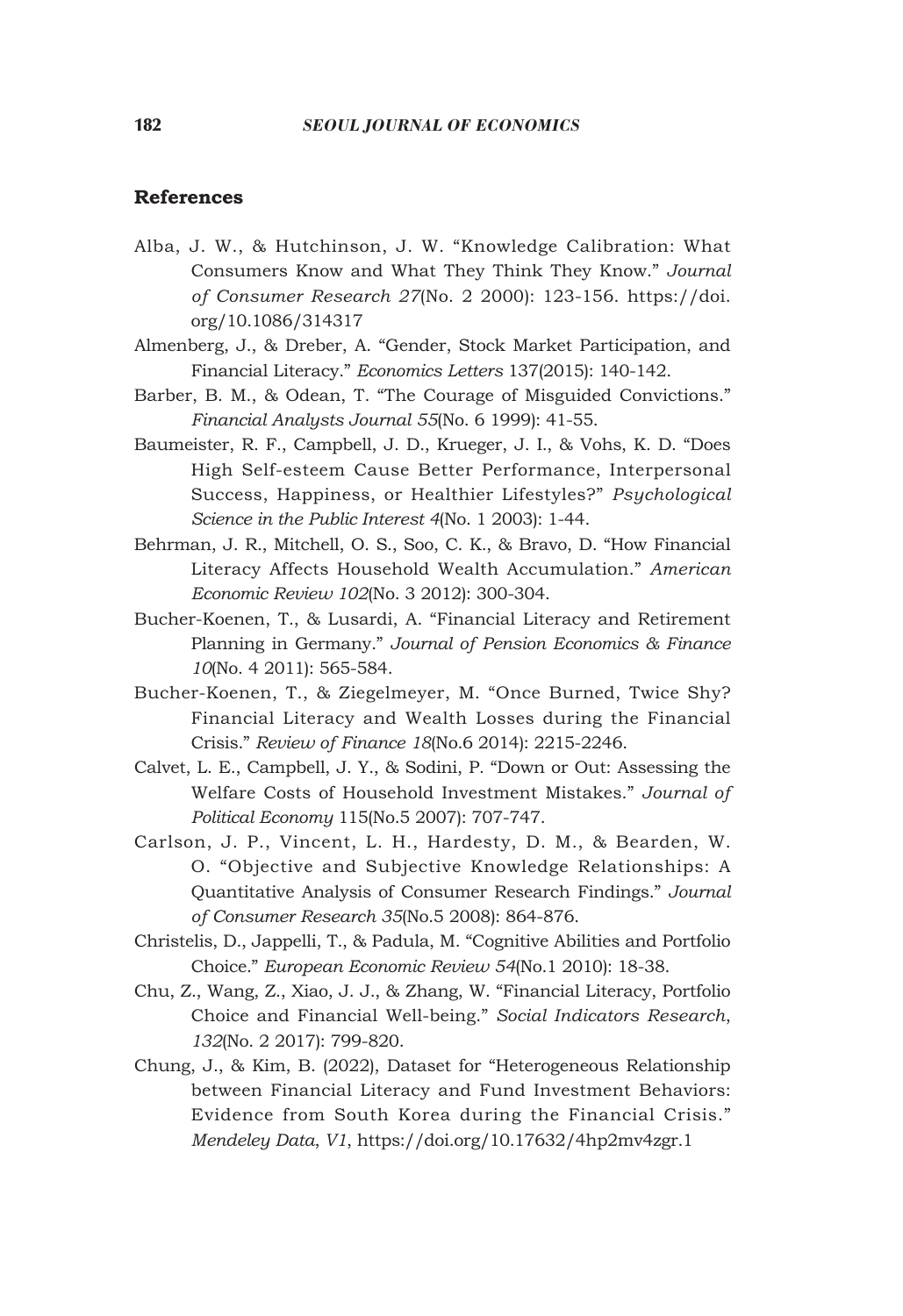## **References**

- Alba, J. W., & Hutchinson, J. W. "Knowledge Calibration: What Consumers Know and What They Think They Know." *Journal of Consumer Research 27*(No. 2 2000): 123-156. https://doi. org/10.1086/314317
- Almenberg, J., & Dreber, A. "Gender, Stock Market Participation, and Financial Literacy." *Economics Letters* 137(2015): 140-142.
- Barber, B. M., & Odean, T. "The Courage of Misguided Convictions." *Financial Analysts Journal 55*(No. 6 1999): 41-55.
- Baumeister, R. F., Campbell, J. D., Krueger, J. I., & Vohs, K. D. "Does High Self-esteem Cause Better Performance, Interpersonal Success, Happiness, or Healthier Lifestyles?" *Psychological Science in the Public Interest 4*(No. 1 2003): 1-44.
- Behrman, J. R., Mitchell, O. S., Soo, C. K., & Bravo, D. "How Financial Literacy Affects Household Wealth Accumulation." *American Economic Review 102*(No. 3 2012): 300-304.
- Bucher-Koenen, T., & Lusardi, A. "Financial Literacy and Retirement Planning in Germany." *Journal of Pension Economics & Finance 10*(No. 4 2011): 565-584.
- Bucher-Koenen, T., & Ziegelmeyer, M. "Once Burned, Twice Shy? Financial Literacy and Wealth Losses during the Financial Crisis." *Review of Finance 18*(No.6 2014): 2215-2246.
- Calvet, L. E., Campbell, J. Y., & Sodini, P. "Down or Out: Assessing the Welfare Costs of Household Investment Mistakes." *Journal of Political Economy* 115(No.5 2007): 707-747.
- Carlson, J. P., Vincent, L. H., Hardesty, D. M., & Bearden, W. O. "Objective and Subjective Knowledge Relationships: A Quantitative Analysis of Consumer Research Findings." *Journal of Consumer Research 35*(No.5 2008): 864-876.
- Christelis, D., Jappelli, T., & Padula, M. "Cognitive Abilities and Portfolio Choice." *European Economic Review 54*(No.1 2010): 18-38.
- Chu, Z., Wang, Z., Xiao, J. J., & Zhang, W. "Financial Literacy, Portfolio Choice and Financial Well-being." *Social Indicators Research*, *132*(No. 2 2017): 799-820.
- Chung, J., & Kim, B. (2022), Dataset for "Heterogeneous Relationship between Financial Literacy and Fund Investment Behaviors: Evidence from South Korea during the Financial Crisis." *Mendeley Data*, *V1*, https://doi.org/10.17632/4hp2mv4zgr.1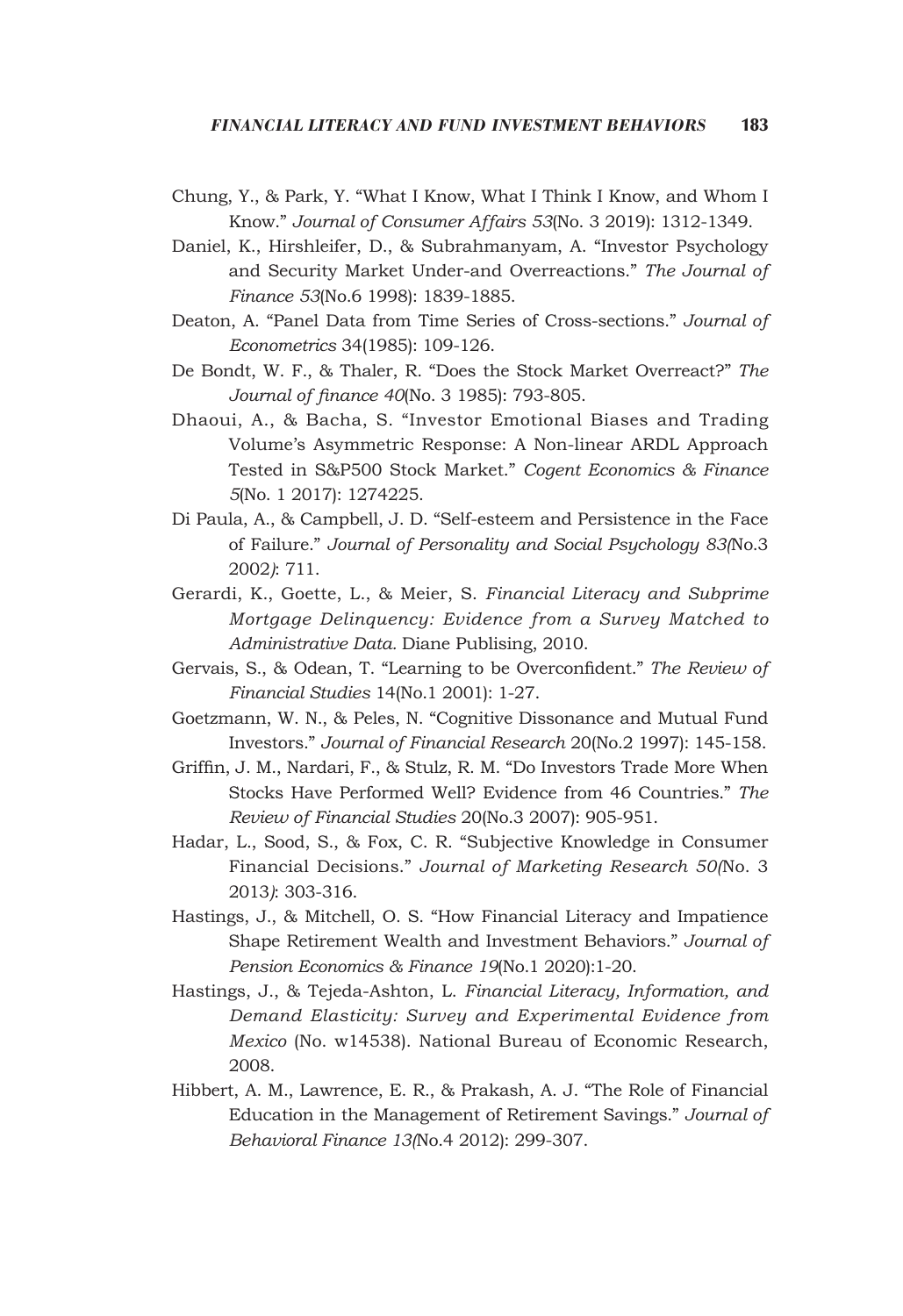- Chung, Y., & Park, Y. "What I Know, What I Think I Know, and Whom I Know." *Journal of Consumer Affairs 53*(No. 3 2019): 1312-1349.
- Daniel, K., Hirshleifer, D., & Subrahmanyam, A. "Investor Psychology and Security Market Under-and Overreactions." *The Journal of Finance 53*(No.6 1998): 1839-1885.
- Deaton, A. "Panel Data from Time Series of Cross-sections." *Journal of Econometrics* 34(1985): 109-126.
- De Bondt, W. F., & Thaler, R. "Does the Stock Market Overreact?" *The Journal of finance 40*(No. 3 1985): 793-805.
- Dhaoui, A., & Bacha, S. "Investor Emotional Biases and Trading Volume's Asymmetric Response: A Non-linear ARDL Approach Tested in S&P500 Stock Market." *Cogent Economics & Finance 5*(No. 1 2017): 1274225.
- Di Paula, A., & Campbell, J. D. "Self-esteem and Persistence in the Face of Failure." *Journal of Personality and Social Psychology 83(*No.3 2002*)*: 711.
- Gerardi, K., Goette, L., & Meier, S. *Financial Literacy and Subprime Mortgage Delinquency: Evidence from a Survey Matched to Administrative Data.* Diane Publising, 2010.
- Gervais, S., & Odean, T. "Learning to be Overconfident." *The Review of Financial Studies* 14(No.1 2001): 1-27.
- Goetzmann, W. N., & Peles, N. "Cognitive Dissonance and Mutual Fund Investors." *Journal of Financial Research* 20(No.2 1997): 145-158.
- Griffin, J. M., Nardari, F., & Stulz, R. M. "Do Investors Trade More When Stocks Have Performed Well? Evidence from 46 Countries." *The Review of Financial Studies* 20(No.3 2007): 905-951.
- Hadar, L., Sood, S., & Fox, C. R. "Subjective Knowledge in Consumer Financial Decisions." *Journal of Marketing Research 50(*No. 3 2013*)*: 303-316.
- Hastings, J., & Mitchell, O. S. "How Financial Literacy and Impatience Shape Retirement Wealth and Investment Behaviors." *Journal of Pension Economics & Finance 19*(No.1 2020):1-20.
- Hastings, J., & Tejeda-Ashton, L. *Financial Literacy, Information, and Demand Elasticity: Survey and Experimental Evidence from Mexico* (No. w14538). National Bureau of Economic Research, 2008.
- Hibbert, A. M., Lawrence, E. R., & Prakash, A. J. "The Role of Financial Education in the Management of Retirement Savings." *Journal of Behavioral Finance 13(*No.4 2012): 299-307.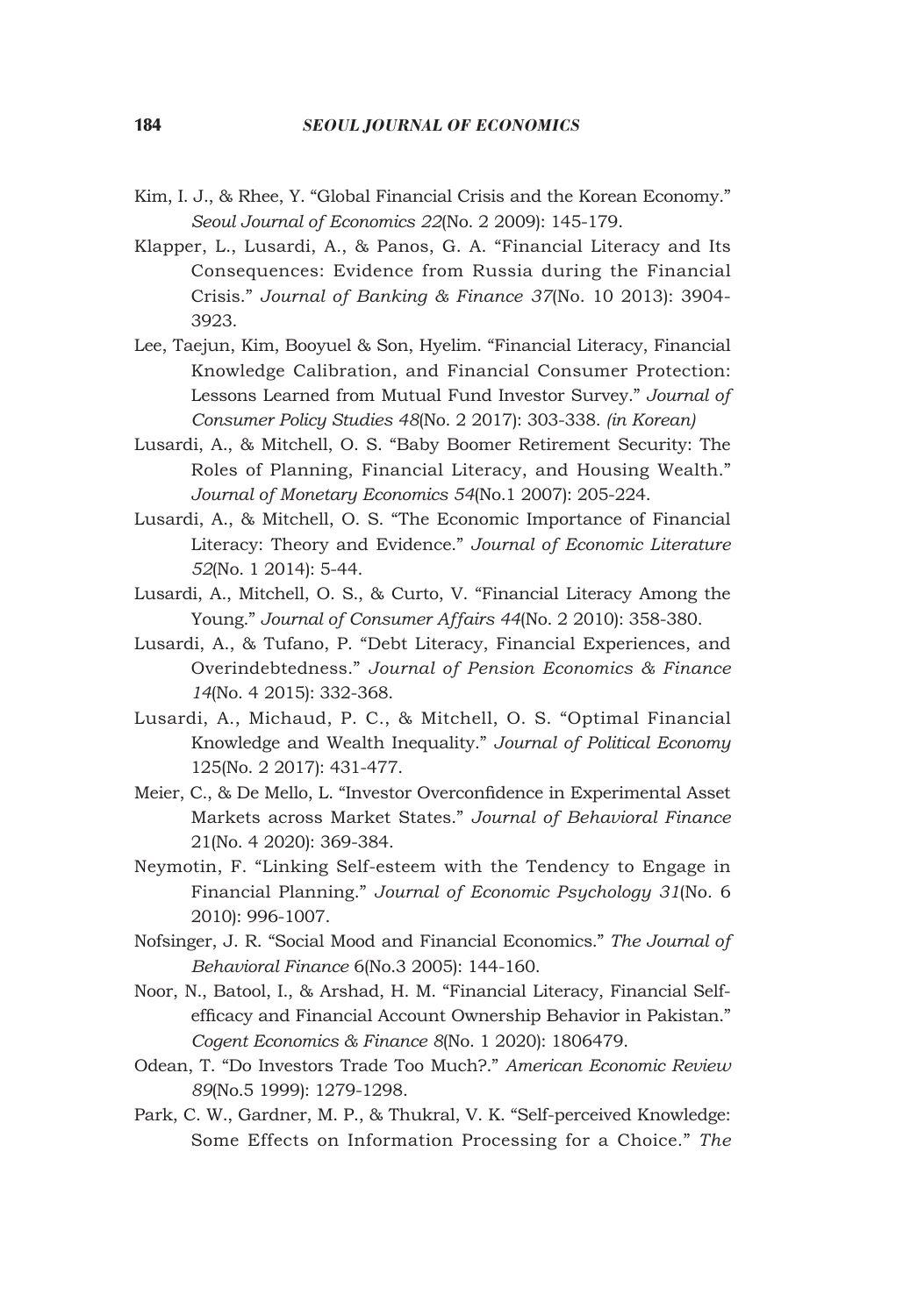- Kim, I. J., & Rhee, Y. "Global Financial Crisis and the Korean Economy." *Seoul Journal of Economics 22*(No. 2 2009): 145-179.
- Klapper, L., Lusardi, A., & Panos, G. A. "Financial Literacy and Its Consequences: Evidence from Russia during the Financial Crisis." *Journal of Banking & Finance 37*(No. 10 2013): 3904- 3923.
- Lee, Taejun, Kim, Booyuel & Son, Hyelim. "Financial Literacy, Financial Knowledge Calibration, and Financial Consumer Protection: Lessons Learned from Mutual Fund Investor Survey." *Journal of Consumer Policy Studies 48*(No. 2 2017): 303-338. *(in Korean)*
- Lusardi, A., & Mitchell, O. S. "Baby Boomer Retirement Security: The Roles of Planning, Financial Literacy, and Housing Wealth." *Journal of Monetary Economics 54*(No.1 2007): 205-224.
- Lusardi, A., & Mitchell, O. S. "The Economic Importance of Financial Literacy: Theory and Evidence." *Journal of Economic Literature 52*(No. 1 2014): 5-44.
- Lusardi, A., Mitchell, O. S., & Curto, V. "Financial Literacy Among the Young." *Journal of Consumer Affairs 44*(No. 2 2010): 358-380.
- Lusardi, A., & Tufano, P. "Debt Literacy, Financial Experiences, and Overindebtedness." *Journal of Pension Economics & Finance 14*(No. 4 2015): 332-368.
- Lusardi, A., Michaud, P. C., & Mitchell, O. S. "Optimal Financial Knowledge and Wealth Inequality." *Journal of Political Economy* 125(No. 2 2017): 431-477.
- Meier, C., & De Mello, L. "Investor Overconfidence in Experimental Asset Markets across Market States." *Journal of Behavioral Finance* 21(No. 4 2020): 369-384.
- Neymotin, F. "Linking Self-esteem with the Tendency to Engage in Financial Planning." *Journal of Economic Psychology 31*(No. 6 2010): 996-1007.
- Nofsinger, J. R. "Social Mood and Financial Economics." *The Journal of Behavioral Finance* 6(No.3 2005): 144-160.
- Noor, N., Batool, I., & Arshad, H. M. "Financial Literacy, Financial Selfefficacy and Financial Account Ownership Behavior in Pakistan." *Cogent Economics & Finance 8*(No. 1 2020): 1806479.
- Odean, T. "Do Investors Trade Too Much?." *American Economic Review 89*(No.5 1999): 1279-1298.
- Park, C. W., Gardner, M. P., & Thukral, V. K. "Self-perceived Knowledge: Some Effects on Information Processing for a Choice." *The*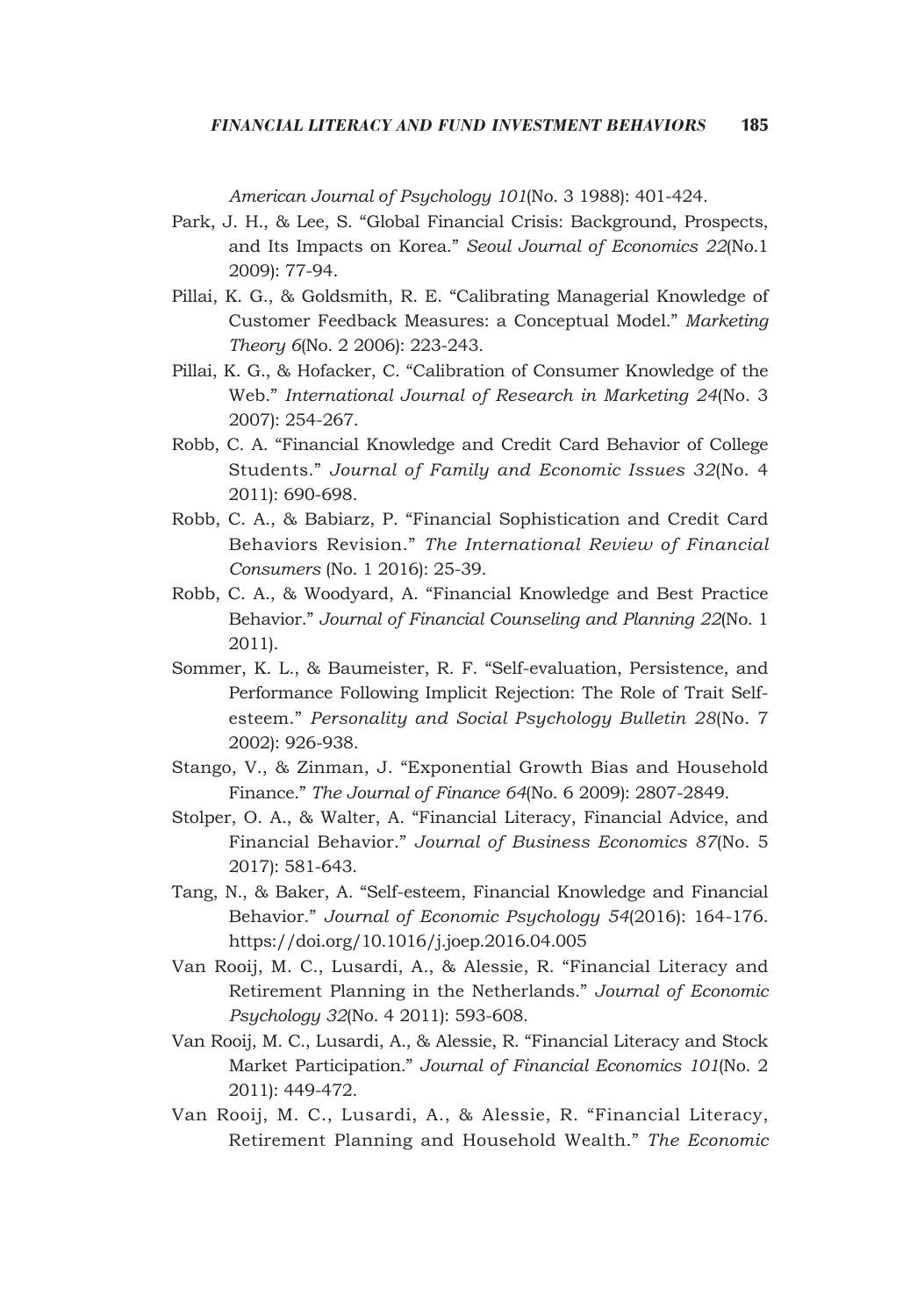*American Journal of Psychology 101*(No. 3 1988): 401-424.

- Park, J. H., & Lee, S. "Global Financial Crisis: Background, Prospects, and Its Impacts on Korea." *Seoul Journal of Economics 22*(No.1 2009): 77-94.
- Pillai, K. G., & Goldsmith, R. E. "Calibrating Managerial Knowledge of Customer Feedback Measures: a Conceptual Model." *Marketing Theory 6*(No. 2 2006): 223-243.
- Pillai, K. G., & Hofacker, C. "Calibration of Consumer Knowledge of the Web." *International Journal of Research in Marketing 24*(No. 3 2007): 254-267.
- Robb, C. A. "Financial Knowledge and Credit Card Behavior of College Students." *Journal of Family and Economic Issues 32*(No. 4 2011): 690-698.
- Robb, C. A., & Babiarz, P. "Financial Sophistication and Credit Card Behaviors Revision." *The International Review of Financial Consumers* (No. 1 2016): 25-39.
- Robb, C. A., & Woodyard, A. "Financial Knowledge and Best Practice Behavior." *Journal of Financial Counseling and Planning 22*(No. 1 2011).
- Sommer, K. L., & Baumeister, R. F. "Self-evaluation, Persistence, and Performance Following Implicit Rejection: The Role of Trait Selfesteem." *Personality and Social Psychology Bulletin 28*(No. 7 2002): 926-938.
- Stango, V., & Zinman, J. "Exponential Growth Bias and Household Finance." *The Journal of Finance 64*(No. 6 2009): 2807-2849.
- Stolper, O. A., & Walter, A. "Financial Literacy, Financial Advice, and Financial Behavior." *Journal of Business Economics 87*(No. 5 2017): 581-643.
- Tang, N., & Baker, A. "Self-esteem, Financial Knowledge and Financial Behavior." *Journal of Economic Psychology 54*(2016): 164-176. https://doi.org/10.1016/j.joep.2016.04.005
- Van Rooij, M. C., Lusardi, A., & Alessie, R. "Financial Literacy and Retirement Planning in the Netherlands." *Journal of Economic Psychology 32*(No. 4 2011): 593-608.
- Van Rooij, M. C., Lusardi, A., & Alessie, R. "Financial Literacy and Stock Market Participation." *Journal of Financial Economics 101*(No. 2 2011): 449-472.
- Van Rooij, M. C., Lusardi, A., & Alessie, R. "Financial Literacy, Retirement Planning and Household Wealth." *The Economic*